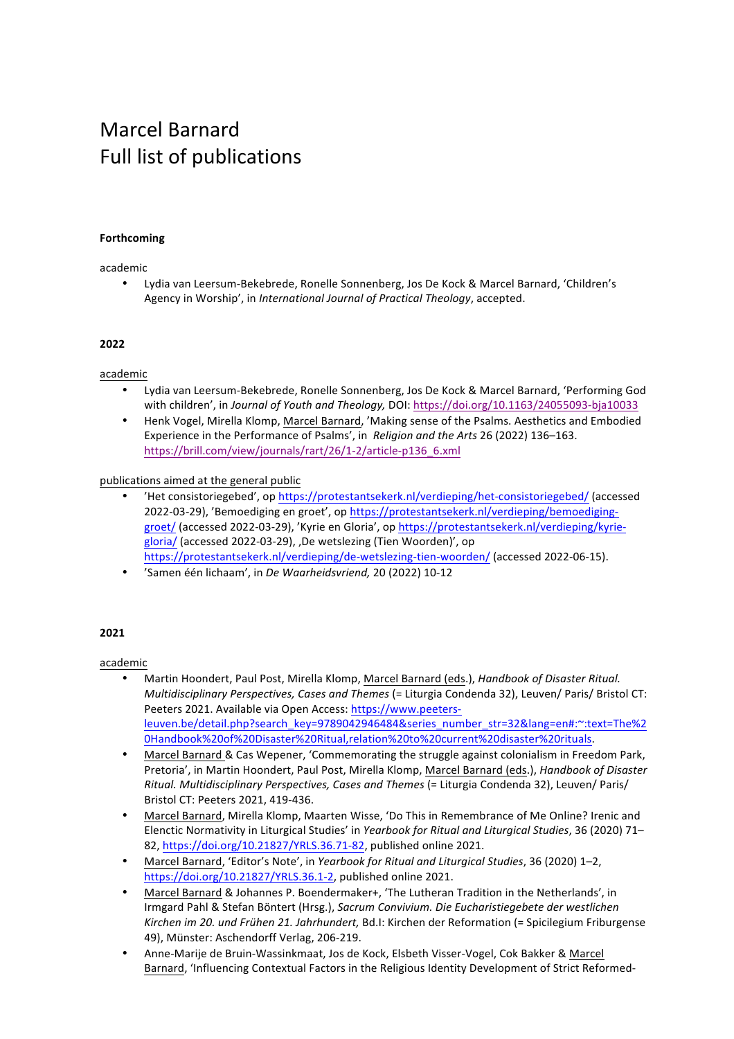# Marcel Barnard Full list of publications

#### **Forthcoming**

academic

• Lydia van Leersum-Bekebrede, Ronelle Sonnenberg, Jos De Kock & Marcel Barnard, 'Children's Agency in Worship', in *International Journal of Practical Theology*, accepted.

#### **2022**

#### academic

- Lydia van Leersum-Bekebrede, Ronelle Sonnenberg, Jos De Kock & Marcel Barnard, 'Performing God with children', in *Journal of Youth and Theology*, *DOI: https://doi.org/10.1163/24055093-bja10033*
- Henk Vogel, Mirella Klomp, Marcel Barnard, 'Making sense of the Psalms. Aesthetics and Embodied Experience in the Performance of Psalms', in *Religion and the Arts* 26 (2022) 136-163. https://brill.com/view/journals/rart/26/1-2/article-p136\_6.xml

# publications aimed at the general public

- 'Het consistoriegebed', op https://protestantsekerk.nl/verdieping/het-consistoriegebed/ (accessed 2022-03-29), 'Bemoediging en groet', op https://protestantsekerk.nl/verdieping/bemoediginggroet/ (accessed 2022-03-29), 'Kyrie en Gloria', op https://protestantsekerk.nl/verdieping/kyriegloria/ (accessed 2022-03-29), ,De wetslezing (Tien Woorden)', op https://protestantsekerk.nl/verdieping/de-wetslezing-tien-woorden/ (accessed 2022-06-15).
- 'Samen één lichaam', in *De Waarheidsvriend,* 20 (2022) 10-12

# **2021**

- Martin Hoondert, Paul Post, Mirella Klomp, Marcel Barnard (eds.), *Handbook of Disaster Ritual. Multidisciplinary Perspectives, Cases and Themes* (= Liturgia Condenda 32), Leuven/ Paris/ Bristol CT: Peeters 2021. Available via Open Access: https://www.peetersleuven.be/detail.php?search\_key=9789042946484&series\_number\_str=32&lang=en#:~:text=The%2 0Handbook%20of%20Disaster%20Ritual,relation%20to%20current%20disaster%20rituals.
- Marcel Barnard & Cas Wepener, 'Commemorating the struggle against colonialism in Freedom Park, Pretoria', in Martin Hoondert, Paul Post, Mirella Klomp, Marcel Barnard (eds.), *Handbook of Disaster Ritual. Multidisciplinary Perspectives, Cases and Themes* (= Liturgia Condenda 32), Leuven/ Paris/ Bristol CT: Peeters 2021, 419-436.
- Marcel Barnard, Mirella Klomp, Maarten Wisse, 'Do This in Remembrance of Me Online? Irenic and Elenctic Normativity in Liturgical Studies' in *Yearbook for Ritual and Liturgical Studies*, 36 (2020) 71-82, https://doi.org/10.21827/YRLS.36.71-82, published online 2021.
- Marcel Barnard, 'Editor's Note', in *Yearbook for Ritual and Liturgical Studies*, 36 (2020) 1-2, https://doi.org/10.21827/YRLS.36.1-2, published online 2021.
- Marcel Barnard & Johannes P. Boendermaker+, 'The Lutheran Tradition in the Netherlands', in Irmgard Pahl & Stefan Böntert (Hrsg.), Sacrum Convivium. Die Eucharistiegebete der westlichen Kirchen im 20. und Frühen 21. Jahrhundert, Bd.I: Kirchen der Reformation (= Spicilegium Friburgense 49), Münster: Aschendorff Verlag, 206-219.
- Anne-Marije de Bruin-Wassinkmaat, Jos de Kock, Elsbeth Visser-Vogel, Cok Bakker & Marcel Barnard, 'Influencing Contextual Factors in the Religious Identity Development of Strict Reformed-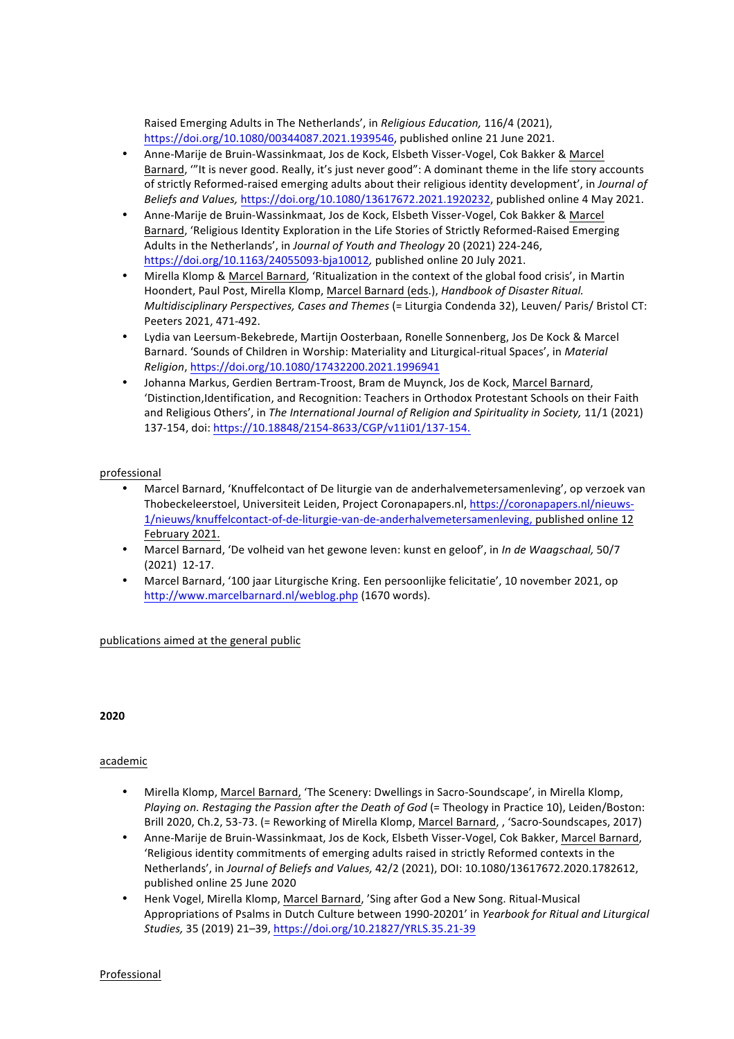Raised Emerging Adults in The Netherlands', in *Religious Education*, 116/4 (2021), https://doi.org/10.1080/00344087.2021.1939546, published online 21 June 2021.

- Anne-Marije de Bruin-Wassinkmaat, Jos de Kock, Elsbeth Visser-Vogel, Cok Bakker & Marcel Barnard, "'It is never good. Really, it's just never good": A dominant theme in the life story accounts of strictly Reformed-raised emerging adults about their religious identity development', in *Journal of* Beliefs and Values, https://doi.org/10.1080/13617672.2021.1920232, published online 4 May 2021.
- Anne-Marije de Bruin-Wassinkmaat, Jos de Kock, Elsbeth Visser-Vogel, Cok Bakker & Marcel Barnard, 'Religious Identity Exploration in the Life Stories of Strictly Reformed-Raised Emerging Adults in the Netherlands', in *Journal of Youth and Theology* 20 (2021) 224-246, https://doi.org/10.1163/24055093-bja10012, published online 20 July 2021.
- Mirella Klomp & Marcel Barnard, 'Ritualization in the context of the global food crisis', in Martin Hoondert, Paul Post, Mirella Klomp, Marcel Barnard (eds.), *Handbook of Disaster Ritual. Multidisciplinary Perspectives, Cases and Themes* (= Liturgia Condenda 32), Leuven/ Paris/ Bristol CT: Peeters 2021, 471-492.
- Lydia van Leersum-Bekebrede, Martijn Oosterbaan, Ronelle Sonnenberg, Jos De Kock & Marcel Barnard. 'Sounds of Children in Worship: Materiality and Liturgical-ritual Spaces', in *Material Religion*, https://doi.org/10.1080/17432200.2021.1996941
- Johanna Markus, Gerdien Bertram-Troost, Bram de Muynck, Jos de Kock, Marcel Barnard, 'Distinction,Identification, and Recognition: Teachers in Orthodox Protestant Schools on their Faith and Religious Others', in *The International Journal of Religion and Spirituality in Society*, 11/1 (2021) 137-154, doi: https://10.18848/2154-8633/CGP/v11i01/137-154.

# professional

- Marcel Barnard, 'Knuffelcontact of De liturgie van de anderhalvemetersamenleving', op verzoek van Thobeckeleerstoel, Universiteit Leiden, Project Coronapapers.nl, https://coronapapers.nl/nieuws-1/nieuws/knuffelcontact-of-de-liturgie-van-de-anderhalvemetersamenleving, published online 12 February 2021.
- Marcel Barnard, 'De volheid van het gewone leven: kunst en geloof', in *In de Waagschaal*, 50/7 (2021) 12-17.
- Marcel Barnard, '100 jaar Liturgische Kring. Een persoonlijke felicitatie', 10 november 2021, op http://www.marcelbarnard.nl/weblog.php (1670 words).

# publications aimed at the general public

**2020**

# academic

- Mirella Klomp, Marcel Barnard, 'The Scenery: Dwellings in Sacro-Soundscape', in Mirella Klomp, *Playing on. Restaging the Passion after the Death of God* (= Theology in Practice 10), Leiden/Boston: Brill 2020, Ch.2, 53-73. (= Reworking of Mirella Klomp, Marcel Barnard, , 'Sacro-Soundscapes, 2017)
- Anne-Marije de Bruin-Wassinkmaat, Jos de Kock, Elsbeth Visser-Vogel, Cok Bakker, Marcel Barnard, 'Religious identity commitments of emerging adults raised in strictly Reformed contexts in the Netherlands', in *Journal of Beliefs and Values, 42*/2 (2021), DOI: 10.1080/13617672.2020.1782612, published online 25 June 2020
- Henk Vogel, Mirella Klomp, Marcel Barnard, 'Sing after God a New Song. Ritual-Musical Appropriations of Psalms in Dutch Culture between 1990-20201' in *Yearbook for Ritual and Liturgical Studies,* 35 (2019) 21–39, https://doi.org/10.21827/YRLS.35.21-39

Professional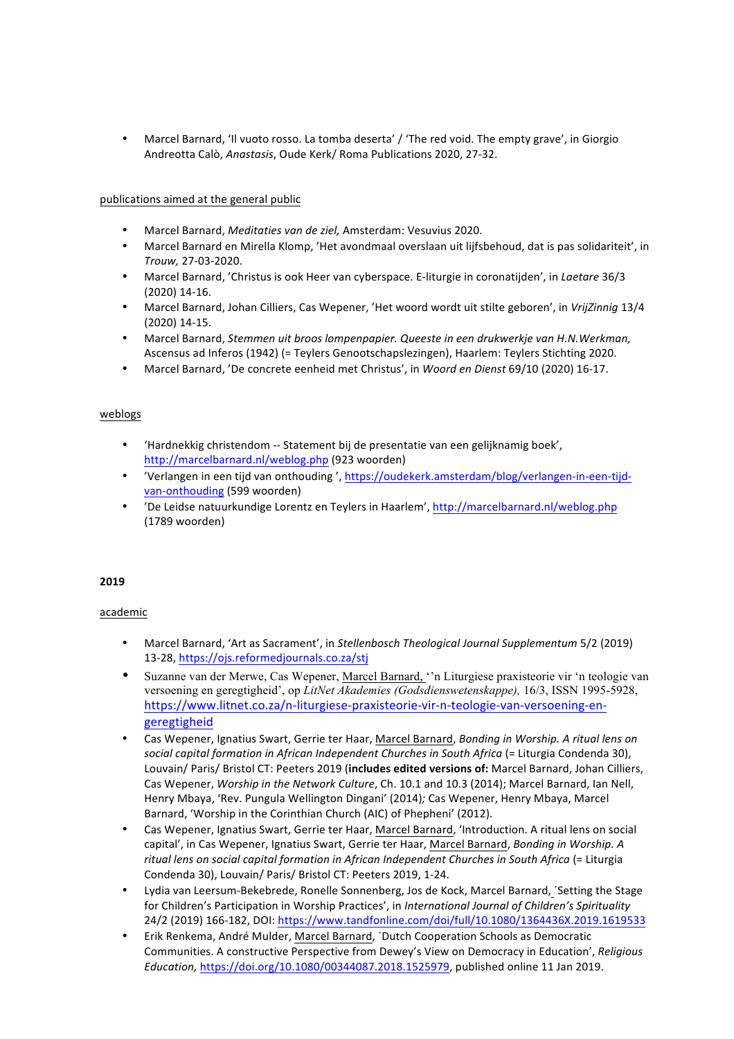Marcel Barnard, 'Il vuoto rosso. La tomba deserta' / 'The red void. The empty grave', in Giorgio Andreotta Calò, *Anastasis*, Oude Kerk/ Roma Publications 2020, 27-32.

# publications aimed at the general public

- Marcel Barnard, *Meditaties van de ziel*, Amsterdam: Vesuvius 2020.
- Marcel Barnard en Mirella Klomp, 'Het avondmaal overslaan uit liifsbehoud, dat is pas solidariteit', in *Trouw,* 27-03-2020.
- Marcel Barnard, 'Christus is ook Heer van cyberspace. E-liturgie in coronatijden', in *Laetare* 36/3 (2020) 14-16.
- Marcel Barnard, Johan Cilliers, Cas Wepener, 'Het woord wordt uit stilte geboren', in *VrijZinnig* 13/4 (2020) 14-15.
- Marcel Barnard, *Stemmen uit broos lompenpapier. Queeste in een drukwerkje van H.N.Werkman,* Ascensus ad Inferos (1942) (= Teylers Genootschapslezingen), Haarlem: Teylers Stichting 2020.
- Marcel Barnard, 'De concrete eenheid met Christus', in *Woord en Dienst* 69/10 (2020) 16-17.

#### weblogs

- 'Hardnekkig christendom -- Statement bij de presentatie van een gelijknamig boek', http://marcelbarnard.nl/weblog.php (923 woorden)
- 'Verlangen in een tijd van onthouding', https://oudekerk.amsterdam/blog/verlangen-in-een-tijdvan-onthouding (599 woorden)
- 'De Leidse natuurkundige Lorentz en Teylers in Haarlem', http://marcelbarnard.nl/weblog.php (1789 woorden)

# **2019**

- Marcel Barnard, 'Art as Sacrament', in *Stellenbosch Theological Journal Supplementum* 5/2 (2019) 13-28, https://ojs.reformedjournals.co.za/stj
- Suzanne van der Merwe, Cas Wepener, Marcel Barnard, ''n Liturgiese praxisteorie vir 'n teologie van versoening en geregtigheid', op *LitNet Akademies (Godsdienswetenskappe),* 16/3, ISSN 1995-5928, https://www.litnet.co.za/n-liturgiese-praxisteorie-vir-n-teologie-van-versoening-engeregtigheid
- Cas Wepener, Ignatius Swart, Gerrie ter Haar, Marcel Barnard, *Bonding in Worship. A ritual lens on* social capital formation in African Independent Churches in South Africa (= Liturgia Condenda 30), Louvain/ Paris/ Bristol CT: Peeters 2019 (includes edited versions of: Marcel Barnard, Johan Cilliers, Cas Wepener, *Worship in the Network Culture*, Ch. 10.1 and 10.3 (2014); Marcel Barnard, Ian Nell, Henry Mbaya, 'Rev. Pungula Wellington Dingani' (2014); Cas Wepener, Henry Mbaya, Marcel Barnard, 'Worship in the Corinthian Church (AIC) of Phepheni' (2012).
- Cas Wepener, Ignatius Swart, Gerrie ter Haar, Marcel Barnard, 'Introduction. A ritual lens on social capital', in Cas Wepener, Ignatius Swart, Gerrie ter Haar, Marcel Barnard, *Bonding in Worship. A* ritual lens on social capital formation in African Independent Churches in South Africa (= Liturgia Condenda 30), Louvain/ Paris/ Bristol CT: Peeters 2019, 1-24.
- Lydia van Leersum-Bekebrede, Ronelle Sonnenberg, Jos de Kock, Marcel Barnard, 'Setting the Stage for Children's Participation in Worship Practices', in *International Journal of Children's Spirituality* 24/2 (2019) 166-182, DOI: https://www.tandfonline.com/doi/full/10.1080/1364436X.2019.1619533
- Erik Renkema, André Mulder, Marcel Barnard, ´Dutch Cooperation Schools as Democratic Communities. A constructive Perspective from Dewey's View on Democracy in Education', *Religious Education,* https://doi.org/10.1080/00344087.2018.1525979, published online 11 Jan 2019.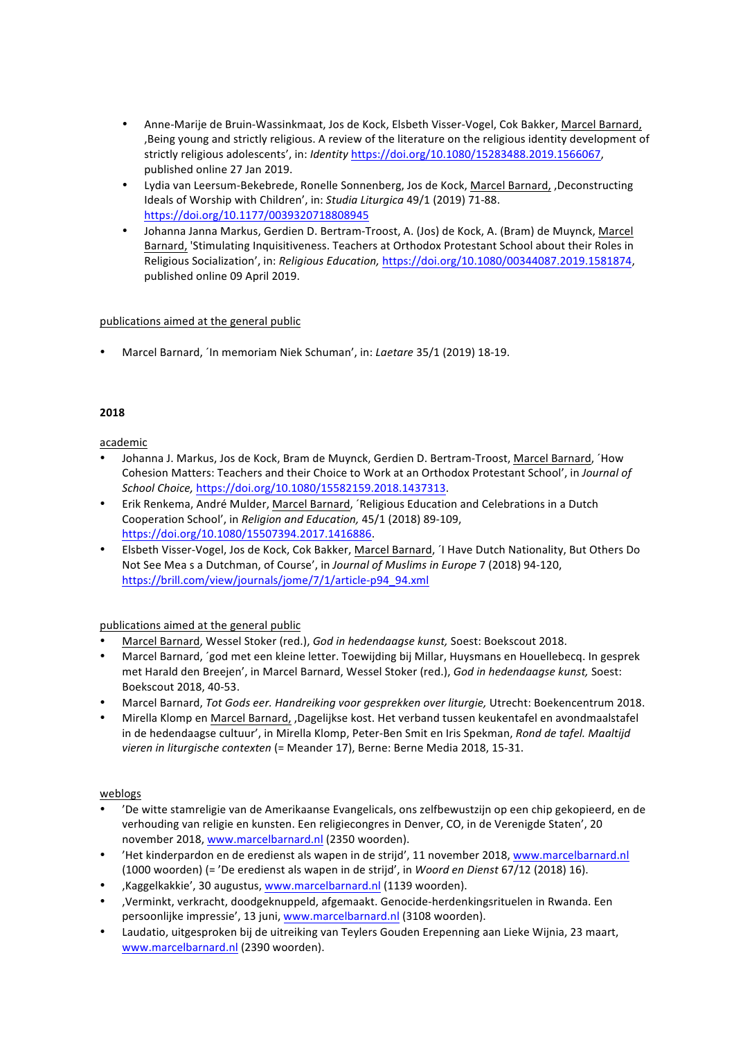- Anne-Marije de Bruin-Wassinkmaat, Jos de Kock, Elsbeth Visser-Vogel, Cok Bakker, Marcel Barnard, , Being young and strictly religious. A review of the literature on the religious identity development of strictly religious adolescents', in: *Identity* https://doi.org/10.1080/15283488.2019.1566067, published online 27 Jan 2019.
- Lydia van Leersum-Bekebrede, Ronelle Sonnenberg, Jos de Kock, Marcel Barnard, ,Deconstructing Ideals of Worship with Children', in: *Studia Liturgica* 49/1 (2019) 71-88. https://doi.org/10.1177/0039320718808945
- Johanna Janna Markus, Gerdien D. Bertram-Troost, A. (Jos) de Kock, A. (Bram) de Muynck, Marcel Barnard, 'Stimulating Inquisitiveness. Teachers at Orthodox Protestant School about their Roles in Religious Socialization', in: *Religious Education,* https://doi.org/10.1080/00344087.2019.1581874, published online 09 April 2019.

Marcel Barnard, 'In memoriam Niek Schuman', in: *Laetare* 35/1 (2019) 18-19.

# **2018**

# academic

- Johanna J. Markus, Jos de Kock, Bram de Muynck, Gerdien D. Bertram-Troost, Marcel Barnard, ´How Cohesion Matters: Teachers and their Choice to Work at an Orthodox Protestant School', in *Journal of School Choice,* https://doi.org/10.1080/15582159.2018.1437313.
- Erik Renkema, André Mulder, Marcel Barnard, 'Religious Education and Celebrations in a Dutch Cooperation School', in *Religion and Education*, 45/1 (2018) 89-109, https://doi.org/10.1080/15507394.2017.1416886.
- Elsbeth Visser-Vogel, Jos de Kock, Cok Bakker, Marcel Barnard, 'I Have Dutch Nationality, But Others Do Not See Mea s a Dutchman, of Course', in *Journal of Muslims in Europe* 7 (2018) 94-120, https://brill.com/view/journals/jome/7/1/article-p94\_94.xml

# publications aimed at the general public

- Marcel Barnard, Wessel Stoker (red.), *God in hedendaagse kunst,* Soest: Boekscout 2018.
- Marcel Barnard, 'god met een kleine letter. Toewijding bij Millar, Huysmans en Houellebecq. In gesprek met Harald den Breejen', in Marcel Barnard, Wessel Stoker (red.), God in hedendaagse kunst, Soest: Boekscout 2018, 40-53.
- Marcel Barnard, Tot Gods eer. Handreiking voor gesprekken over liturgie, Utrecht: Boekencentrum 2018.
- Mirella Klomp en Marcel Barnard, ,Dagelijkse kost. Het verband tussen keukentafel en avondmaalstafel in de hedendaagse cultuur', in Mirella Klomp, Peter-Ben Smit en Iris Spekman, *Rond de tafel. Maaltijd* vieren in liturgische contexten (= Meander 17), Berne: Berne Media 2018, 15-31.

# weblogs

- 'De witte stamreligie van de Amerikaanse Evangelicals, ons zelfbewustzijn op een chip gekopieerd, en de verhouding van religie en kunsten. Een religiecongres in Denver, CO, in de Verenigde Staten', 20 november 2018, www.marcelbarnard.nl (2350 woorden).
- 'Het kinderpardon en de eredienst als wapen in de strijd', 11 november 2018, www.marcelbarnard.nl (1000 woorden) (= 'De eredienst als wapen in de strijd', in *Woord en Dienst* 67/12 (2018) 16).
- "Kaggelkakkie', 30 augustus, www.marcelbarnard.nl (1139 woorden).
- 'Verminkt, verkracht, doodgeknuppeld, afgemaakt. Genocide-herdenkingsrituelen in Rwanda. Een persoonlijke impressie', 13 juni, www.marcelbarnard.nl (3108 woorden).
- Laudatio, uitgesproken bij de uitreiking van Teylers Gouden Erepenning aan Lieke Wijnia, 23 maart, www.marcelbarnard.nl (2390 woorden).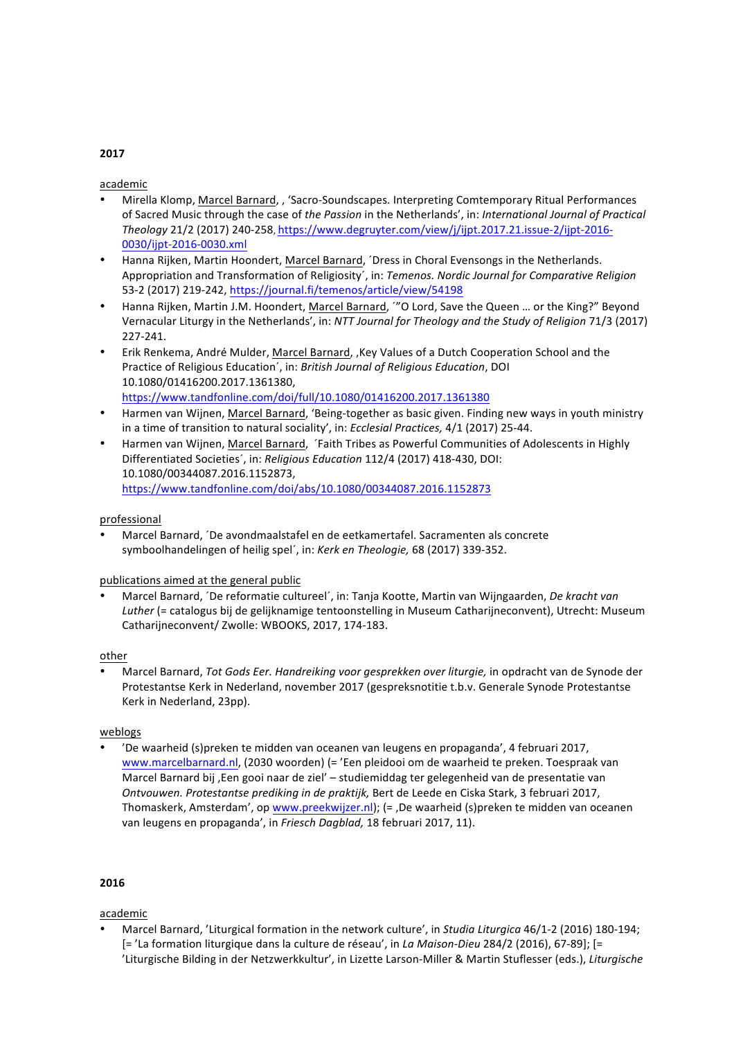# academic

- Mirella Klomp, Marcel Barnard, , 'Sacro-Soundscapes. Interpreting Comtemporary Ritual Performances of Sacred Music through the case of the Passion in the Netherlands', in: International Journal of Practical *Theology* 21/2 (2017) 240-258, https://www.degruyter.com/view/j/ijpt.2017.21.issue-2/ijpt-2016- 0030/ijpt-2016-0030.xml
- Hanna Rijken, Martin Hoondert, Marcel Barnard, 'Dress in Choral Evensongs in the Netherlands. Appropriation and Transformation of Religiosity', in: *Temenos. Nordic Journal for Comparative Religion* 53-2 (2017) 219-242, https://journal.fi/temenos/article/view/54198
- Hanna Rijken, Martin J.M. Hoondert, Marcel Barnard, "O Lord, Save the Queen ... or the King?" Beyond Vernacular Liturgy in the Netherlands', in: *NTT Journal for Theology and the Study of Religion* 71/3 (2017) 227-241.
- Erik Renkema, André Mulder, Marcel Barnard, , Key Values of a Dutch Cooperation School and the Practice of Religious Education', in: *British Journal of Religious Education*, DOI 10.1080/01416200.2017.1361380, https://www.tandfonline.com/doi/full/10.1080/01416200.2017.1361380
- Harmen van Wijnen, Marcel Barnard, 'Being-together as basic given. Finding new ways in youth ministry in a time of transition to natural sociality', in: *Ecclesial Practices*, 4/1 (2017) 25-44.
- Harmen van Wijnen, Marcel Barnard, 'Faith Tribes as Powerful Communities of Adolescents in Highly Differentiated Societies', in: *Religious Education* 112/4 (2017) 418-430, DOI: 10.1080/00344087.2016.1152873, https://www.tandfonline.com/doi/abs/10.1080/00344087.2016.1152873

# professional

Marcel Barnard, 'De avondmaalstafel en de eetkamertafel. Sacramenten als concrete symboolhandelingen of heilig spel', in: Kerk en Theologie, 68 (2017) 339-352.

# publications aimed at the general public

Marcel Barnard, *´De reformatie cultureel´*, in: Tanja Kootte, Martin van Wijngaarden, De kracht van Luther (= catalogus bij de gelijknamige tentoonstelling in Museum Catharijneconvent), Utrecht: Museum Catharijneconvent/ Zwolle: WBOOKS, 2017, 174-183.

# other

Marcel Barnard, *Tot Gods Eer. Handreiking voor gesprekken over liturgie,* in opdracht van de Synode der Protestantse Kerk in Nederland, november 2017 (gespreksnotitie t.b.v. Generale Synode Protestantse Kerk in Nederland, 23pp).

# weblogs

'De waarheid (s)preken te midden van oceanen van leugens en propaganda', 4 februari 2017, www.marcelbarnard.nl, (2030 woorden) (= 'Een pleidooi om de waarheid te preken. Toespraak van Marcel Barnard bij , Een gooi naar de ziel' - studiemiddag ter gelegenheid van de presentatie van *Ontvouwen. Protestantse prediking in de praktijk,* Bert de Leede en Ciska Stark, 3 februari 2017, Thomaskerk, Amsterdam', op www.preekwijzer.nl); (= ,De waarheid (s)preken te midden van oceanen van leugens en propaganda', in Friesch Dagblad, 18 februari 2017, 11).

# **2016**

# academic

Marcel Barnard, 'Liturgical formation in the network culture', in *Studia Liturgica* 46/1-2 (2016) 180-194; [= 'La formation liturgique dans la culture de réseau', in La Maison-Dieu 284/2 (2016), 67-89]; [= 'Liturgische Bilding in der Netzwerkkultur', in Lizette Larson-Miller & Martin Stuflesser (eds.), Liturgische

#### **2017**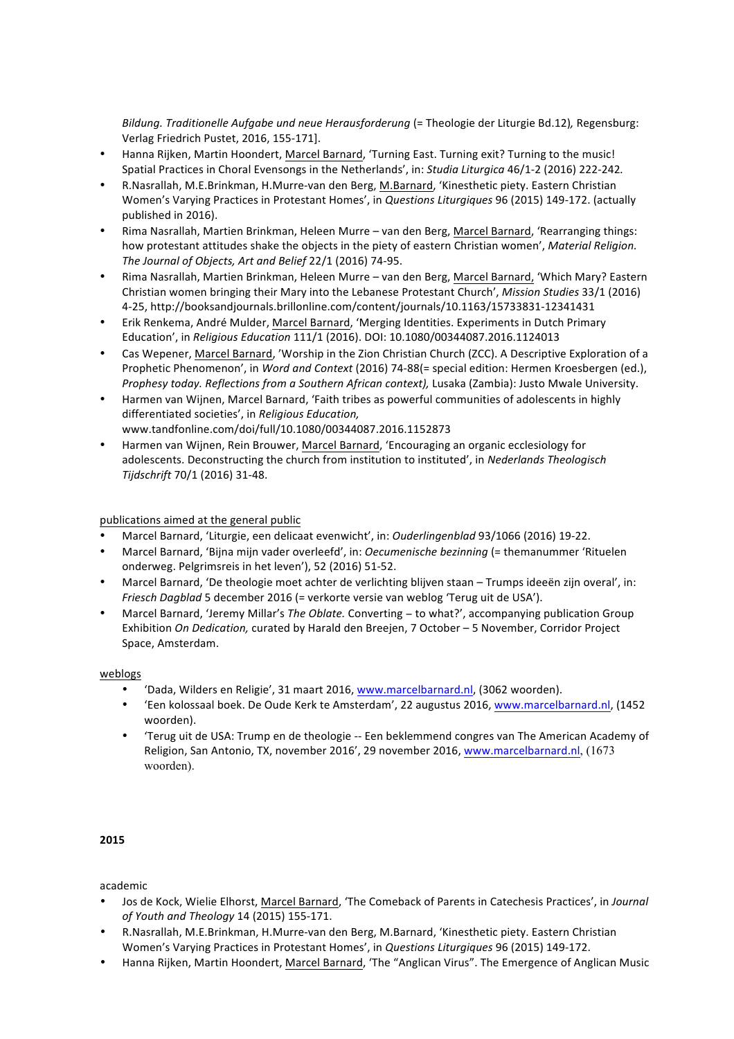*Bildung. Traditionelle Aufgabe und neue Herausforderung* (= Theologie der Liturgie Bd.12)*,* Regensburg: Verlag Friedrich Pustet, 2016, 155-171].

- Hanna Rijken, Martin Hoondert, Marcel Barnard, 'Turning East. Turning exit? Turning to the music! Spatial Practices in Choral Evensongs in the Netherlands', in: *Studia Liturgica* 46/1-2 (2016) 222-242.
- R.Nasrallah, M.E.Brinkman, H.Murre-van den Berg, M.Barnard, 'Kinesthetic piety. Eastern Christian Women's Varying Practices in Protestant Homes', in *Questions Liturgiques* 96 (2015) 149-172. (actually published in 2016).
- Rima Nasrallah, Martien Brinkman, Heleen Murre van den Berg, Marcel Barnard, 'Rearranging things: how protestant attitudes shake the objects in the piety of eastern Christian women', *Material Religion.* The Journal of Objects, Art and Belief 22/1 (2016) 74-95.
- Rima Nasrallah, Martien Brinkman, Heleen Murre van den Berg, Marcel Barnard, 'Which Mary? Eastern Christian women bringing their Mary into the Lebanese Protestant Church', *Mission Studies* 33/1 (2016) 4-25, http://booksandjournals.brillonline.com/content/journals/10.1163/15733831-12341431
- Erik Renkema, André Mulder, Marcel Barnard, 'Merging Identities. Experiments in Dutch Primary Education', in *Religious Education* 111/1 (2016). DOI: 10.1080/00344087.2016.1124013
- Cas Wepener, Marcel Barnard, 'Worship in the Zion Christian Church (ZCC). A Descriptive Exploration of a Prophetic Phenomenon', in *Word and Context* (2016) 74-88(= special edition: Hermen Kroesbergen (ed.), Prophesy today. Reflections from a Southern African context), Lusaka (Zambia): Justo Mwale University.
- Harmen van Wijnen, Marcel Barnard, 'Faith tribes as powerful communities of adolescents in highly differentiated societies', in *Religious Education,* www.tandfonline.com/doi/full/10.1080/00344087.2016.1152873
- Harmen van Wijnen, Rein Brouwer, Marcel Barnard, 'Encouraging an organic ecclesiology for adolescents. Deconstructing the church from institution to instituted', in *Nederlands Theologisch Tijdschrift* 70/1 (2016) 31-48.

# publications aimed at the general public

- Marcel Barnard, 'Liturgie, een delicaat evenwicht', in: *Ouderlingenblad* 93/1066 (2016) 19-22.
- Marcel Barnard, 'Bijna mijn vader overleefd', in: *Oecumenische bezinning* (= themanummer 'Rituelen onderweg. Pelgrimsreis in het leven'), 52 (2016) 51-52.
- Marcel Barnard, 'De theologie moet achter de verlichting blijven staan Trumps ideeën zijn overal', in: *Friesch Dagblad* 5 december 2016 (= verkorte versie van weblog 'Terug uit de USA').
- Marcel Barnard, 'Jeremy Millar's *The Oblate*. Converting to what?', accompanying publication Group Exhibition On Dedication, curated by Harald den Breejen, 7 October - 5 November, Corridor Project Space, Amsterdam.

# weblogs

- 'Dada, Wilders en Religie', 31 maart 2016, www.marcelbarnard.nl, (3062 woorden).
- 'Een kolossaal boek. De Oude Kerk te Amsterdam', 22 augustus 2016, www.marcelbarnard.nl, (1452 woorden).
- 'Terug uit de USA: Trump en de theologie -- Een beklemmend congres van The American Academy of Religion, San Antonio, TX, november 2016', 29 november 2016, www.marcelbarnard.nl, (1673 woorden).

# **2015**

- Jos de Kock, Wielie Elhorst, Marcel Barnard, 'The Comeback of Parents in Catechesis Practices', in *Journal of Youth and Theology* 14 (2015) 155-171.
- R.Nasrallah, M.E.Brinkman, H.Murre-van den Berg, M.Barnard, 'Kinesthetic piety. Eastern Christian Women's Varying Practices in Protestant Homes', in *Questions Liturgiques* 96 (2015) 149-172.
- Hanna Rijken, Martin Hoondert, Marcel Barnard, 'The "Anglican Virus". The Emergence of Anglican Music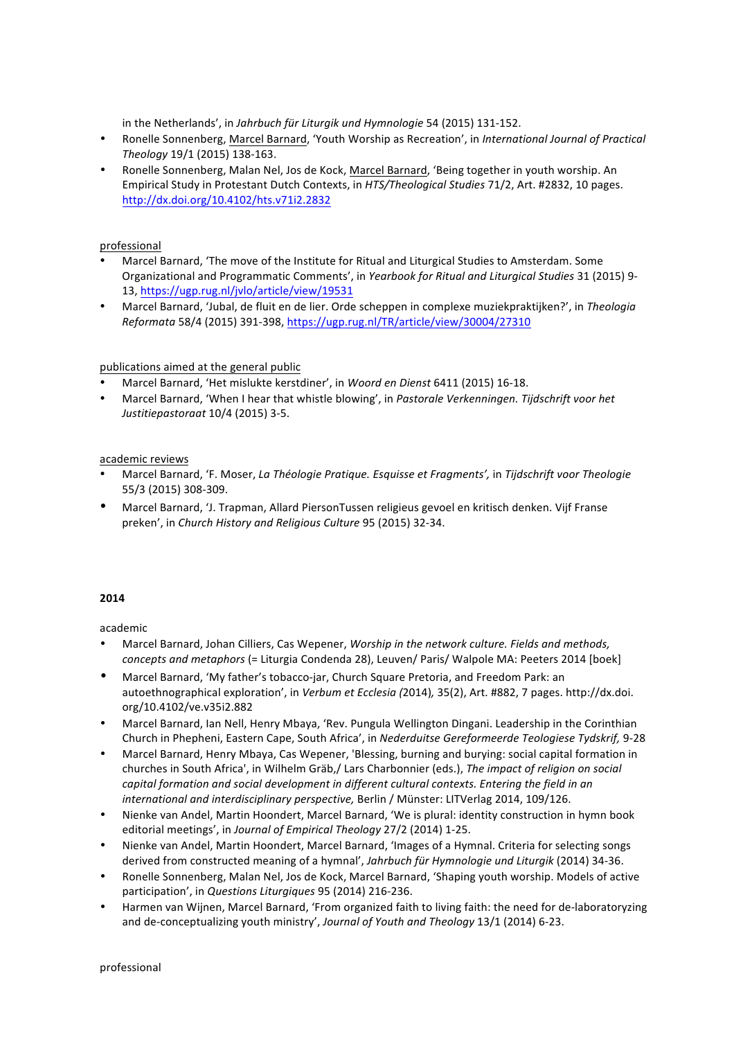in the Netherlands', in *Jahrbuch für Liturgik und Hymnologie* 54 (2015) 131-152.

- Ronelle Sonnenberg, Marcel Barnard, 'Youth Worship as Recreation', in International Journal of Practical *Theology* 19/1 (2015) 138-163.
- Ronelle Sonnenberg, Malan Nel, Jos de Kock, Marcel Barnard, 'Being together in youth worship. An Empirical Study in Protestant Dutch Contexts, in *HTS/Theological Studies* 71/2, Art. #2832, 10 pages. http://dx.doi.org/10.4102/hts.v71i2.2832

# professional

- Marcel Barnard, 'The move of the Institute for Ritual and Liturgical Studies to Amsterdam. Some Organizational and Programmatic Comments', in Yearbook for Ritual and Liturgical Studies 31 (2015) 9-13, https://ugp.rug.nl/jvlo/article/view/19531
- Marcel Barnard, 'Jubal, de fluit en de lier. Orde scheppen in complexe muziekpraktijken?', in Theologia *Reformata* 58/4 (2015) 391-398, https://ugp.rug.nl/TR/article/view/30004/27310

# publications aimed at the general public

- Marcel Barnard, 'Het mislukte kerstdiner', in Woord en Dienst 6411 (2015) 16-18.
- Marcel Barnard, 'When I hear that whistle blowing', in *Pastorale Verkenningen. Tijdschrift voor het Justitiepastoraat* 10/4 (2015) 3-5.

# academic reviews

- Marcel Barnard, 'F. Moser, *La Théologie Pratique. Esquisse et Fragments',* in *Tijdschrift voor Theologie*  55/3 (2015) 308-309.
- Marcel Barnard, 'J. Trapman, Allard PiersonTussen religieus gevoel en kritisch denken. Vijf Franse preken', in *Church History and Religious Culture* 95 (2015) 32-34.

# **2014**

- Marcel Barnard, Johan Cilliers, Cas Wepener, *Worship in the network culture. Fields and methods, concepts and metaphors* (= Liturgia Condenda 28), Leuven/ Paris/ Walpole MA: Peeters 2014 [boek]
- Marcel Barnard, 'My father's tobacco-jar, Church Square Pretoria, and Freedom Park: an autoethnographical exploration', in *Verbum et Ecclesia* (2014), 35(2), Art. #882, 7 pages. http://dx.doi. org/10.4102/ve.v35i2.882
- Marcel Barnard, Ian Nell, Henry Mbaya, 'Rev. Pungula Wellington Dingani. Leadership in the Corinthian Church in Phepheni, Eastern Cape, South Africa', in *Nederduitse Gereformeerde Teologiese Tydskrif,* 9-28
- Marcel Barnard, Henry Mbaya, Cas Wepener, 'Blessing, burning and burying: social capital formation in churches in South Africa', in Wilhelm Gräb./ Lars Charbonnier (eds.), *The impact of religion on social capital formation and social development in different cultural contexts. Entering the field in an international and interdisciplinary perspective, Berlin / Münster: LITVerlag 2014, 109/126.*
- Nienke van Andel, Martin Hoondert, Marcel Barnard, 'We is plural: identity construction in hymn book editorial meetings', in *Journal of Empirical Theology* 27/2 (2014) 1-25.
- Nienke van Andel, Martin Hoondert, Marcel Barnard, 'Images of a Hymnal, Criteria for selecting songs derived from constructed meaning of a hymnal', *Jahrbuch für Hymnologie und Liturgik* (2014) 34-36.
- Ronelle Sonnenberg, Malan Nel, Jos de Kock, Marcel Barnard, 'Shaping youth worship. Models of active participation', in *Questions Liturgiques* 95 (2014) 216-236.
- Harmen van Wijnen, Marcel Barnard, 'From organized faith to living faith: the need for de-laboratoryzing and de-conceptualizing youth ministry', Journal of Youth and Theology 13/1 (2014) 6-23.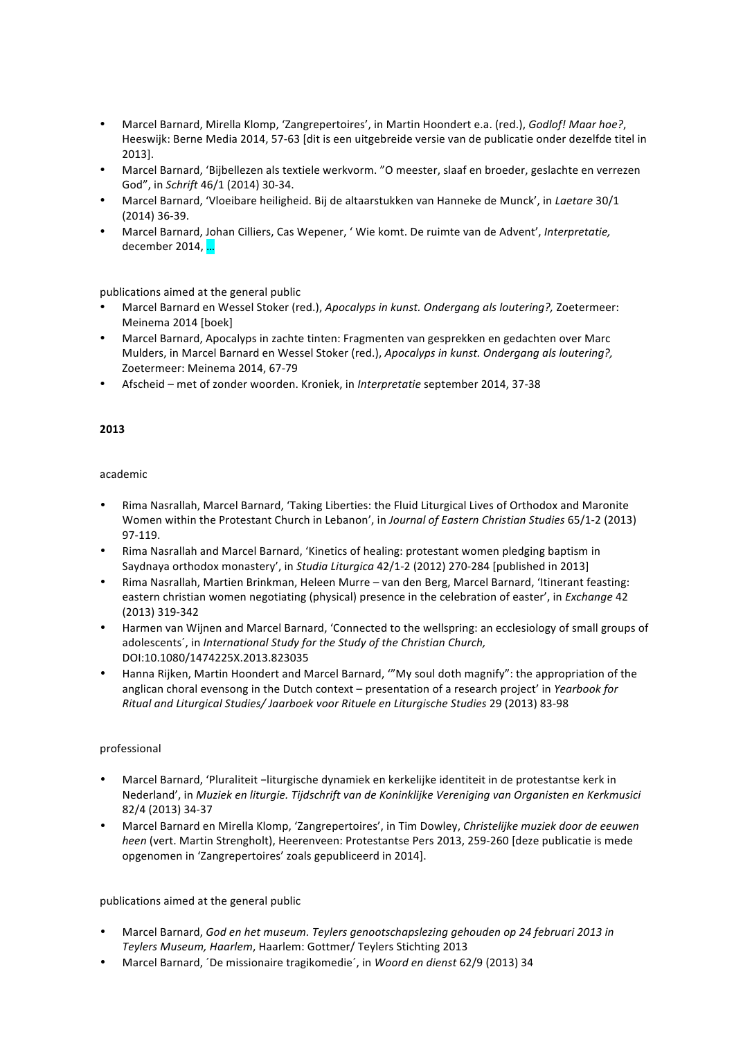- Marcel Barnard, Mirella Klomp, 'Zangrepertoires', in Martin Hoondert e.a. (red.), *Godlof! Maar hoe?*, Heeswijk: Berne Media 2014, 57-63 [dit is een uitgebreide versie van de publicatie onder dezelfde titel in 2013].
- Marcel Barnard, 'Bijbellezen als textiele werkvorm. "O meester, slaaf en broeder, geslachte en verrezen God", in *Schrift* 46/1 (2014) 30-34.
- Marcel Barnard, 'Vloeibare heiligheid. Bij de altaarstukken van Hanneke de Munck', in *Laetare* 30/1  $(2014)$  36-39.
- Marcel Barnard, Johan Cilliers, Cas Wepener, ' Wie komt. De ruimte van de Advent', Interpretatie, december 2014, ...

- Marcel Barnard en Wessel Stoker (red.), *Apocalyps in kunst. Ondergang als loutering?*, Zoetermeer: Meinema 2014 [boek]
- Marcel Barnard, Apocalyps in zachte tinten: Fragmenten van gesprekken en gedachten over Marc Mulders, in Marcel Barnard en Wessel Stoker (red.), *Apocalyps in kunst. Ondergang als loutering?*, Zoetermeer: Meinema 2014, 67-79
- Afscheid met of zonder woorden. Kroniek, in *Interpretatie* september 2014, 37-38

# **2013**

# academic

- Rima Nasrallah, Marcel Barnard, 'Taking Liberties: the Fluid Liturgical Lives of Orthodox and Maronite Women within the Protestant Church in Lebanon', in *Journal of Eastern Christian Studies* 65/1-2 (2013) 97-119.
- Rima Nasrallah and Marcel Barnard, 'Kinetics of healing: protestant women pledging baptism in Saydnaya orthodox monastery', in *Studia Liturgica* 42/1-2 (2012) 270-284 [published in 2013]
- Rima Nasrallah, Martien Brinkman, Heleen Murre van den Berg, Marcel Barnard, 'Itinerant feasting: eastern christian women negotiating (physical) presence in the celebration of easter', in *Exchange* 42 (2013) 319-342
- Harmen van Wijnen and Marcel Barnard, 'Connected to the wellspring: an ecclesiology of small groups of adolescents', in *International Study for the Study of the Christian Church,* DOI:10.1080/1474225X.2013.823035
- Hanna Rijken, Martin Hoondert and Marcel Barnard, "'My soul doth magnify": the appropriation of the anglican choral evensong in the Dutch context – presentation of a research project' in *Yearbook for Ritual and Liturgical Studies/ Jaarboek voor Rituele en Liturgische Studies* 29 (2013) 83-98

# professional

- Marcel Barnard, 'Pluraliteit −liturgische dynamiek en kerkelijke identiteit in de protestantse kerk in Nederland', in *Muziek en liturgie. Tijdschrift van de Koninklijke Vereniging van Organisten en Kerkmusici* 82/4 (2013) 34-37
- Marcel Barnard en Mirella Klomp, 'Zangrepertoires', in Tim Dowley, *Christelijke muziek door de eeuwen heen* (vert. Martin Strengholt), Heerenveen: Protestantse Pers 2013, 259-260 [deze publicatie is mede opgenomen in 'Zangrepertoires' zoals gepubliceerd in 2014].

# publications aimed at the general public

- Marcel Barnard, God en het museum. Teylers genootschapslezing gehouden op 24 februari 2013 in Teylers Museum, Haarlem, Haarlem: Gottmer/ Teylers Stichting 2013
- Marcel Barnard, *'De missionaire tragikomedie'*, in *Woord en dienst* 62/9 (2013) 34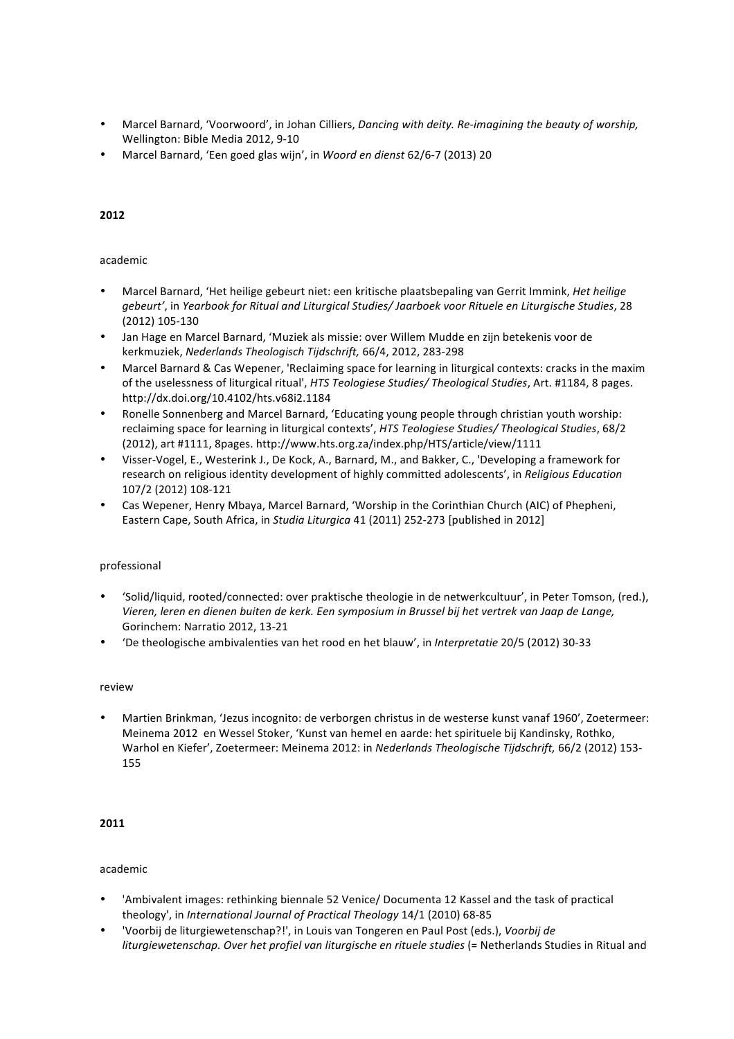- Marcel Barnard, 'Voorwoord', in Johan Cilliers, *Dancing with deity. Re-imagining the beauty of worship,* Wellington: Bible Media 2012, 9-10
- Marcel Barnard, 'Een goed glas wijn', in Woord en dienst 62/6-7 (2013) 20

# **2012**

# academic

- Marcel Barnard, 'Het heilige gebeurt niet: een kritische plaatsbepaling van Gerrit Immink, *Het heilige* gebeurt', in Yearbook for Ritual and Liturgical Studies/ Jaarboek voor Rituele en Liturgische Studies, 28 (2012) 105-130
- Jan Hage en Marcel Barnard, 'Muziek als missie: over Willem Mudde en zijn betekenis voor de kerkmuziek, *Nederlands Theologisch Tijdschrift,* 66/4, 2012, 283-298
- Marcel Barnard & Cas Wepener, 'Reclaiming space for learning in liturgical contexts: cracks in the maxim of the uselessness of liturgical ritual', *HTS Teologiese Studies/ Theological Studies*, Art. #1184, 8 pages. http://dx.doi.org/10.4102/hts.v68i2.1184
- Ronelle Sonnenberg and Marcel Barnard, 'Educating young people through christian youth worship: reclaiming space for learning in liturgical contexts', *HTS Teologiese Studies/ Theological Studies*, 68/2 (2012), art #1111, 8pages. http://www.hts.org.za/index.php/HTS/article/view/1111
- Visser-Vogel, E., Westerink J., De Kock, A., Barnard, M., and Bakker, C., 'Developing a framework for research on religious identity development of highly committed adolescents', in *Religious Education* 107/2 (2012) 108-121
- Cas Wepener, Henry Mbaya, Marcel Barnard, 'Worship in the Corinthian Church (AIC) of Phepheni, Eastern Cape, South Africa, in *Studia Liturgica* 41 (2011) 252-273 [published in 2012]

# professional

- 'Solid/liquid, rooted/connected: over praktische theologie in de netwerkcultuur', in Peter Tomson, (red.), Vieren, leren en dienen buiten de kerk. Een symposium in Brussel bij het vertrek van Jaap de Lange, Gorinchem: Narratio 2012, 13-21
- 'De theologische ambivalenties van het rood en het blauw', in *Interpretatie* 20/5 (2012) 30-33

# review

Martien Brinkman, 'Jezus incognito: de verborgen christus in de westerse kunst vanaf 1960', Zoetermeer: Meinema 2012 en Wessel Stoker, 'Kunst van hemel en aarde: het spirituele bij Kandinsky, Rothko, Warhol en Kiefer', Zoetermeer: Meinema 2012: in *Nederlands Theologische Tijdschrift,* 66/2 (2012) 153-155

# **2011**

- 'Ambivalent images: rethinking biennale 52 Venice/ Documenta 12 Kassel and the task of practical theology', in *International Journal of Practical Theology* 14/1 (2010) 68-85
- 'Voorbij de liturgiewetenschap?!', in Louis van Tongeren en Paul Post (eds.), *Voorbij de liturgiewetenschap. Over het profiel van liturgische en rituele studies* (= Netherlands Studies in Ritual and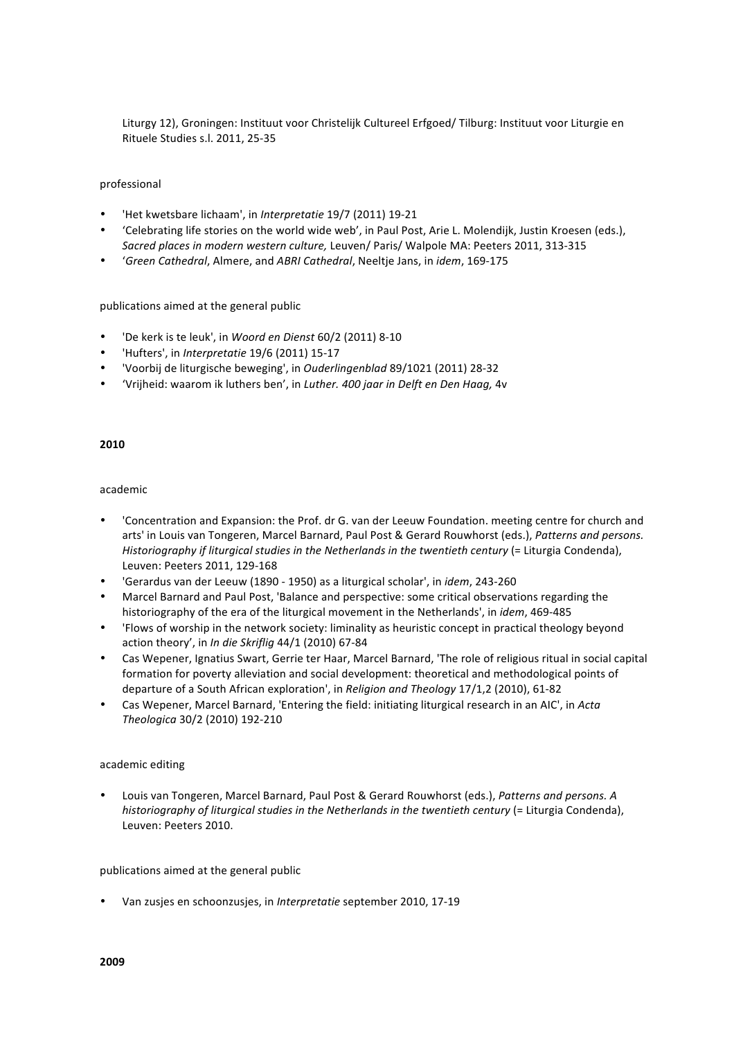Liturgy 12), Groningen: Instituut voor Christelijk Cultureel Erfgoed/ Tilburg: Instituut voor Liturgie en Rituele Studies s.l. 2011, 25-35

#### professional

- 'Het kwetsbare lichaam', in *Interpretatie* 19/7 (2011) 19-21
- "Celebrating life stories on the world wide web', in Paul Post, Arie L. Molendijk, Justin Kroesen (eds.), *Sacred places in modern western culture, Leuven/ Paris/ Walpole MA: Peeters 2011, 313-315*
- '*Green Cathedral*, Almere, and *ABRI Cathedral*, Neeltje Jans, in *idem*, 169-175

#### publications aimed at the general public

- 'De kerk is te leuk', in Woord en Dienst 60/2 (2011) 8-10
- 'Hufters', in *Interpretatie* 19/6 (2011) 15-17
- 'Voorbij de liturgische beweging', in *Ouderlingenblad* 89/1021 (2011) 28-32
- 'Vrijheid: waarom ik luthers ben', in *Luther. 400 jaar in Delft en Den Haag,* 4v

# **2010**

# academic

- 'Concentration and Expansion: the Prof. dr G. van der Leeuw Foundation. meeting centre for church and arts' in Louis van Tongeren, Marcel Barnard, Paul Post & Gerard Rouwhorst (eds.), Patterns and persons. *Historiography if liturgical studies in the Netherlands in the twentieth century* (= Liturgia Condenda), Leuven: Peeters 2011, 129-168
- <sup>'</sup>Gerardus van der Leeuw (1890 1950) as a liturgical scholar', in *idem*, 243-260
- Marcel Barnard and Paul Post, 'Balance and perspective: some critical observations regarding the historiography of the era of the liturgical movement in the Netherlands', in *idem*, 469-485
- 'Flows of worship in the network society: liminality as heuristic concept in practical theology beyond action theory', in *In die Skriflig* 44/1 (2010) 67-84
- Cas Wepener, Ignatius Swart, Gerrie ter Haar, Marcel Barnard, 'The role of religious ritual in social capital formation for poverty alleviation and social development: theoretical and methodological points of departure of a South African exploration', in *Religion and Theology* 17/1,2 (2010), 61-82
- Cas Wepener, Marcel Barnard, 'Entering the field: initiating liturgical research in an AIC', in *Acta Theologica* 30/2 (2010) 192-210

# academic editing

Louis van Tongeren, Marcel Barnard, Paul Post & Gerard Rouwhorst (eds.), Patterns and persons. A *historiography of liturgical studies in the Netherlands in the twentieth century* (= Liturgia Condenda), Leuven: Peeters 2010.

# publications aimed at the general public

Van zusjes en schoonzusjes, in *Interpretatie* september 2010, 17-19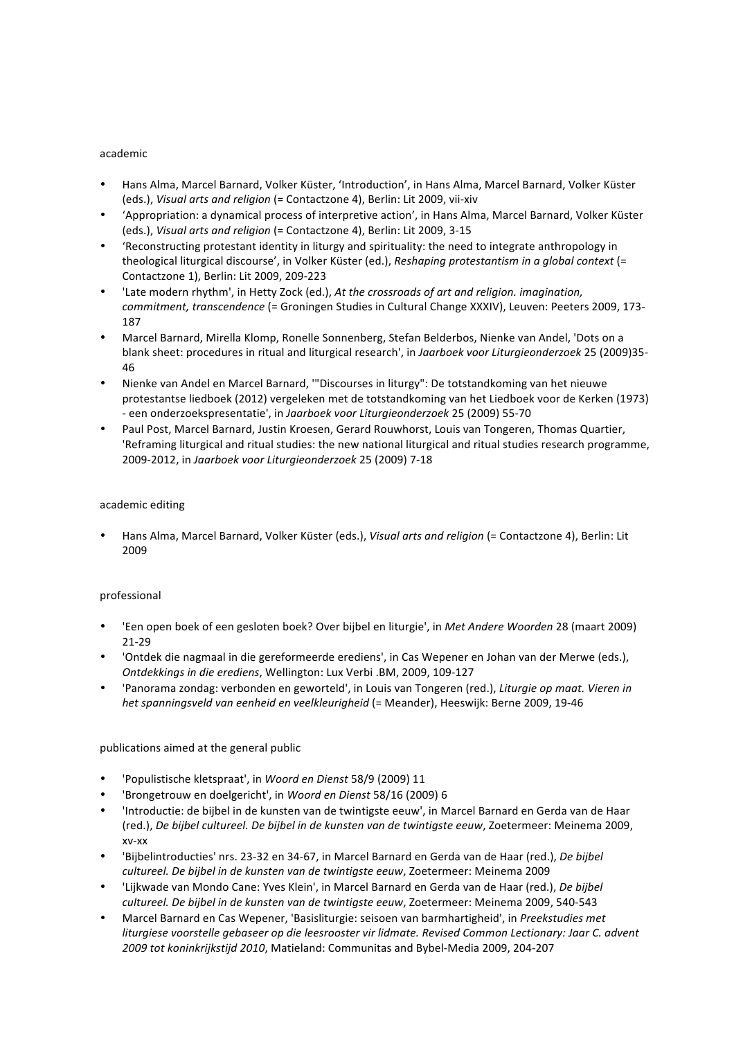#### academic

- Hans Alma, Marcel Barnard, Volker Küster, 'Introduction', in Hans Alma, Marcel Barnard, Volker Küster (eds.), Visual arts and religion (= Contactzone 4), Berlin: Lit 2009, vii-xiv
- 'Appropriation: a dynamical process of interpretive action', in Hans Alma, Marcel Barnard, Volker Küster (eds.), *Visual arts and religion* (= Contactzone 4), Berlin: Lit 2009, 3-15
- 'Reconstructing protestant identity in liturgy and spirituality: the need to integrate anthropology in theological liturgical discourse', in Volker Küster (ed.), Reshaping protestantism in a global context (= Contactzone 1), Berlin: Lit 2009, 209-223
- 'Late modern rhythm', in Hetty Zock (ed.), At the crossroads of art and religion. imagination, *commitment, transcendence* (= Groningen Studies in Cultural Change XXXIV), Leuven: Peeters 2009, 173-187
- Marcel Barnard, Mirella Klomp, Ronelle Sonnenberg, Stefan Belderbos, Nienke van Andel, 'Dots on a blank sheet: procedures in ritual and liturgical research', in *Jaarboek voor Liturgieonderzoek* 25 (2009)35-46
- Nienke van Andel en Marcel Barnard, "'Discourses in liturgy": De totstandkoming van het nieuwe protestantse liedboek (2012) vergeleken met de totstandkoming van het Liedboek voor de Kerken (1973) - een onderzoekspresentatie', in Jaarboek voor Liturgieonderzoek 25 (2009) 55-70
- Paul Post, Marcel Barnard, Justin Kroesen, Gerard Rouwhorst, Louis van Tongeren, Thomas Quartier, 'Reframing liturgical and ritual studies: the new national liturgical and ritual studies research programme, 2009-2012, in *Jaarboek voor Liturgieonderzoek* 25 (2009) 7-18

# academic editing

Hans Alma, Marcel Barnard, Volker Küster (eds.), *Visual arts and religion* (= Contactzone 4), Berlin: Lit 2009

# professional

- 'Een open boek of een gesloten boek? Over bijbel en liturgie', in *Met Andere Woorden* 28 (maart 2009) 21-29
- 'Ontdek die nagmaal in die gereformeerde erediens', in Cas Wepener en Johan van der Merwe (eds.), **Ontdekkings in die erediens, Wellington: Lux Verbi .BM, 2009, 109-127**
- 'Panorama zondag: verbonden en geworteld', in Louis van Tongeren (red.), *Liturgie op maat. Vieren in* het spanningsveld van eenheid en veelkleurigheid (= Meander), Heeswijk: Berne 2009, 19-46

# publications aimed at the general public

- 'Populistische kletspraat', in *Woord en Dienst* 58/9 (2009) 11
- 'Brongetrouw en doelgericht', in *Woord en Dienst* 58/16 (2009) 6
- 'Introductie: de bijbel in de kunsten van de twintigste eeuw', in Marcel Barnard en Gerda van de Haar (red.), *De bijbel cultureel. De bijbel in de kunsten van de twintigste eeuw*, Zoetermeer: Meinema 2009, xv-xx
- 'Bijbelintroducties' nrs. 23-32 en 34-67, in Marcel Barnard en Gerda van de Haar (red.), De bijbel *cultureel. De bijbel in de kunsten van de twintigste eeuw*, Zoetermeer: Meinema 2009
- 'Lijkwade van Mondo Cane: Yves Klein', in Marcel Barnard en Gerda van de Haar (red.), *De bijbel cultureel. De bijbel in de kunsten van de twintigste eeuw*, Zoetermeer: Meinema 2009, 540-543
- Marcel Barnard en Cas Wepener, 'Basisliturgie: seisoen van barmhartigheid', in Preekstudies met *liturgiese voorstelle gebaseer op die leesrooster vir lidmate. Revised Common Lectionary: Jaar C. advent 2009 tot koninkrijkstijd 2010*, Matieland: Communitas and Bybel-Media 2009, 204-207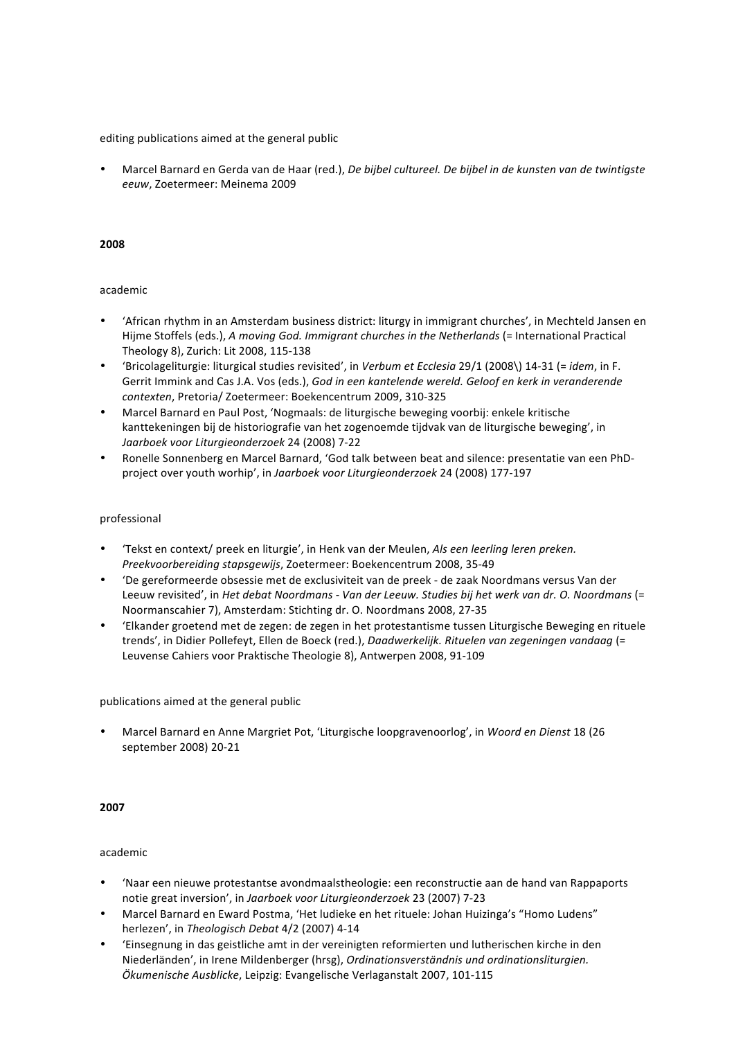Marcel Barnard en Gerda van de Haar (red.), *De bijbel cultureel. De bijbel in de kunsten van de twintigste eeuw*, Zoetermeer: Meinema 2009

#### **2008**

#### academic

- 'African rhythm in an Amsterdam business district: liturgy in immigrant churches', in Mechteld Jansen en Hijme Stoffels (eds.), A moving God. Immigrant churches in the Netherlands (= International Practical Theology 8), Zurich: Lit 2008, 115-138
- 'Bricolageliturgie: liturgical studies revisited', in *Verbum et Ecclesia* 29/1 (2008\) 14-31 (= *idem*, in F. Gerrit Immink and Cas J.A. Vos (eds.), God in een kantelende wereld. Geloof en kerk in veranderende *contexten*, Pretoria/ Zoetermeer: Boekencentrum 2009, 310-325
- Marcel Barnard en Paul Post, 'Nogmaals: de liturgische beweging voorbij: enkele kritische kanttekeningen bij de historiografie van het zogenoemde tijdvak van de liturgische beweging', in *Jaarboek voor Liturgieonderzoek* 24 (2008) 7-22
- Ronelle Sonnenberg en Marcel Barnard, 'God talk between beat and silence: presentatie van een PhDproject over youth worhip', in Jaarboek voor Liturgieonderzoek 24 (2008) 177-197

#### professional

- 'Tekst en context/ preek en liturgie', in Henk van der Meulen, Als een leerling leren preken. *Preekvoorbereiding stapsgewijs*, Zoetermeer: Boekencentrum 2008, 35-49
- 'De gereformeerde obsessie met de exclusiviteit van de preek de zaak Noordmans versus Van der Leeuw revisited', in *Het debat Noordmans - Van der Leeuw. Studies bij het werk van dr. O. Noordmans* (= Noormanscahier 7), Amsterdam: Stichting dr. O. Noordmans 2008, 27-35
- 'Elkander groetend met de zegen: de zegen in het protestantisme tussen Liturgische Beweging en rituele trends', in Didier Pollefeyt, Ellen de Boeck (red.), *Daadwerkelijk. Rituelen van zegeningen vandaag* (= Leuvense Cahiers voor Praktische Theologie 8), Antwerpen 2008, 91-109

publications aimed at the general public

Marcel Barnard en Anne Margriet Pot, 'Liturgische loopgravenoorlog', in *Woord en Dienst* 18 (26 september 2008) 20-21

#### **2007**

- 'Naar een nieuwe protestantse avondmaalstheologie: een reconstructie aan de hand van Rappaports notie great inversion', in Jaarboek voor Liturgieonderzoek 23 (2007) 7-23
- Marcel Barnard en Eward Postma, 'Het ludieke en het rituele: Johan Huizinga's "Homo Ludens" herlezen', in Theologisch Debat 4/2 (2007) 4-14
- 'Einsegnung in das geistliche amt in der vereinigten reformierten und lutherischen kirche in den Niederländen', in Irene Mildenberger (hrsg), Ordinationsverständnis und ordinationsliturgien. *Ökumenische Ausblicke*, Leipzig: Evangelische Verlaganstalt 2007, 101-115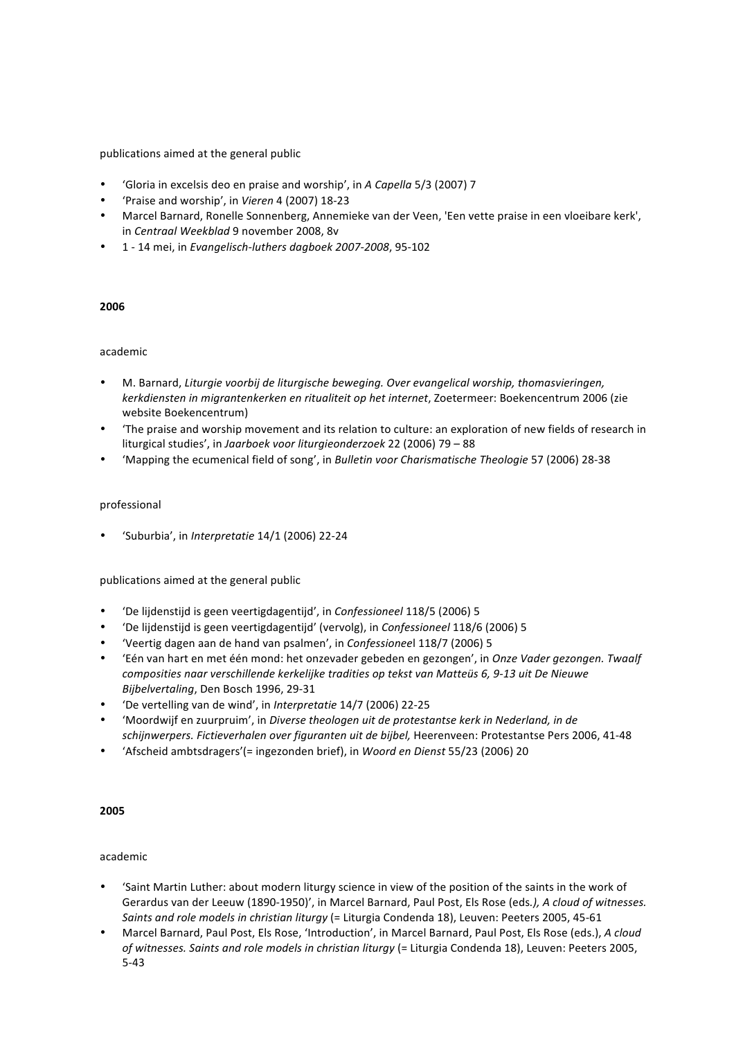- 'Gloria in excelsis deo en praise and worship', in *A Capella* 5/3 (2007) 7
- 'Praise and worship', in *Vieren* 4 (2007) 18-23
- Marcel Barnard, Ronelle Sonnenberg, Annemieke van der Veen, 'Een vette praise in een vloeibare kerk', in *Centraal Weekblad* 9 november 2008, 8v
- 1 - 14 mei, in *Evangelisch-luthers dagboek 2007-2008*, 95-102

# **2006**

# academic

- M. Barnard, *Liturgie voorbij de liturgische beweging. Over evangelical worship, thomasvieringen,* kerkdiensten in migrantenkerken en ritualiteit op het internet, Zoetermeer: Boekencentrum 2006 (zie website Boekencentrum)
- 'The praise and worship movement and its relation to culture: an exploration of new fields of research in liturgical studies', in *Jaarboek voor liturgieonderzoek* 22 (2006) 79 - 88
- 'Mapping the ecumenical field of song', in *Bulletin voor Charismatische Theologie* 57 (2006) 28-38

# professional

• 'Suburbia', in *Interpretatie* 14/1 (2006) 22-24

publications aimed at the general public

- 'De lijdenstijd is geen veertigdagentijd', in *Confessioneel* 118/5 (2006) 5
- 'De lijdenstijd is geen veertigdagentijd' (vervolg), in *Confessioneel* 118/6 (2006) 5
- 'Veertig dagen aan de hand van psalmen', in *Confessionee*l 118/7 (2006) 5
- 'Eén van hart en met één mond: het onzevader gebeden en gezongen', in *Onze Vader gezongen. Twaalf*  composities naar verschillende kerkelijke tradities op tekst van Matteüs 6, 9-13 uit De Nieuwe *Bijbelvertaling*, Den Bosch 1996, 29-31
- 'De vertelling van de wind', in *Interpretatie* 14/7 (2006) 22-25
- 'Moordwijf en zuurpruim', in *Diverse theologen uit de protestantse kerk in Nederland, in de* schijnwerpers. Fictieverhalen over figuranten uit de bijbel, Heerenveen: Protestantse Pers 2006, 41-48
- 'Afscheid ambtsdragers'(= ingezonden brief), in *Woord en Dienst* 55/23 (2006) 20

#### **2005**

- 'Saint Martin Luther: about modern liturgy science in view of the position of the saints in the work of Gerardus van der Leeuw (1890-1950)', in Marcel Barnard, Paul Post, Els Rose (eds.), A cloud of witnesses. Saints and role models in christian liturgy (= Liturgia Condenda 18), Leuven: Peeters 2005, 45-61
- Marcel Barnard, Paul Post, Els Rose, 'Introduction', in Marcel Barnard, Paul Post, Els Rose (eds.), A cloud of witnesses. Saints and role models in christian liturgy (= Liturgia Condenda 18), Leuven: Peeters 2005, 5-43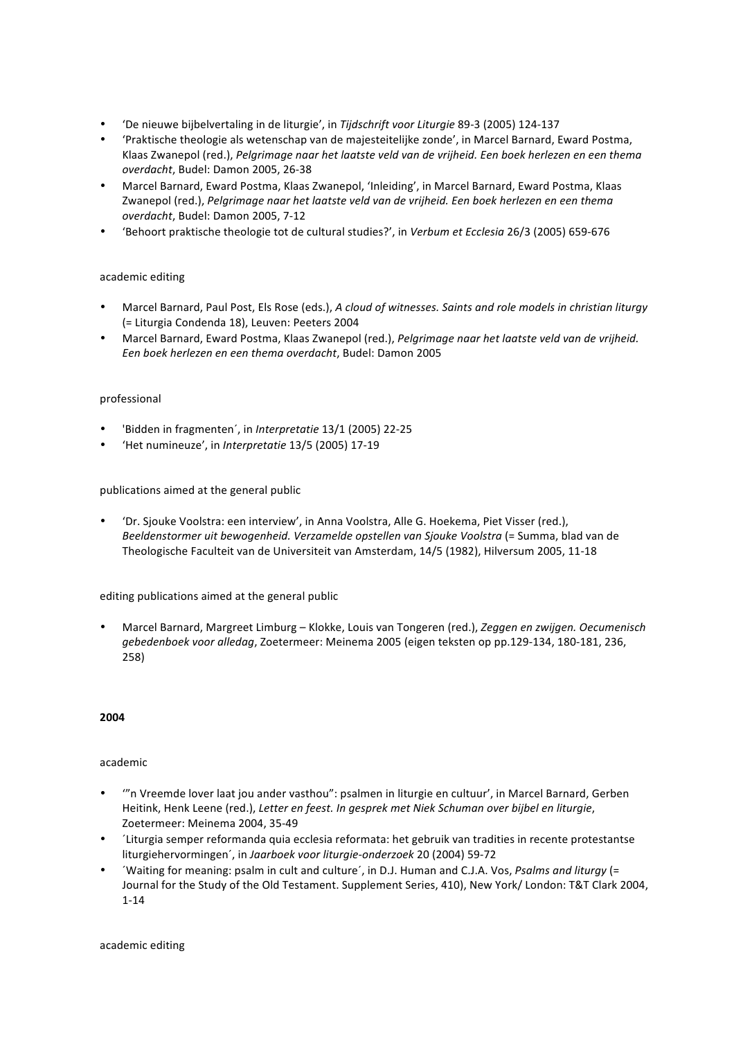- 'De nieuwe bijbelvertaling in de liturgie', in *Tijdschrift voor Liturgie* 89-3 (2005) 124-137
- 'Praktische theologie als wetenschap van de majesteitelijke zonde', in Marcel Barnard, Eward Postma, Klaas Zwanepol (red.), Pelgrimage naar het laatste veld van de vrijheid. Een boek herlezen en een thema *overdacht*, Budel: Damon 2005, 26-38
- Marcel Barnard, Eward Postma, Klaas Zwanepol, 'Inleiding', in Marcel Barnard, Eward Postma, Klaas Zwanepol (red.), Pelgrimage naar het laatste veld van de vrijheid. Een boek herlezen en een thema *overdacht*, Budel: Damon 2005, 7-12
- 'Behoort praktische theologie tot de cultural studies?', in *Verbum et Ecclesia* 26/3 (2005) 659-676

# academic editing

- Marcel Barnard, Paul Post, Els Rose (eds.), *A cloud of witnesses. Saints and role models in christian liturgy* (= Liturgia Condenda 18), Leuven: Peeters 2004
- Marcel Barnard, Eward Postma, Klaas Zwanepol (red.), *Pelgrimage naar het laatste veld van de vrijheid. Een boek herlezen en een thema overdacht*, Budel: Damon 2005

# professional

- 'Bidden in fragmenten', in *Interpretatie* 13/1 (2005) 22-25
- 'Het numineuze', in *Interpretatie* 13/5 (2005) 17-19

# publications aimed at the general public

• 'Dr. Sjouke Voolstra: een interview', in Anna Voolstra, Alle G. Hoekema, Piet Visser (red.), Beeldenstormer uit bewogenheid. Verzamelde opstellen van Sjouke Voolstra (= Summa, blad van de Theologische Faculteit van de Universiteit van Amsterdam, 14/5 (1982), Hilversum 2005, 11-18

# editing publications aimed at the general public

Marcel Barnard, Margreet Limburg - Klokke, Louis van Tongeren (red.), Zeggen en zwijgen. Oecumenisch gebedenboek voor alledag, Zoetermeer: Meinema 2005 (eigen teksten op pp.129-134, 180-181, 236, 258)

# **2004**

# academic

- "n Vreemde lover laat jou ander vasthou": psalmen in liturgie en cultuur', in Marcel Barnard, Gerben Heitink, Henk Leene (red.), Letter en feest. In gesprek met Niek Schuman over bijbel en liturgie, Zoetermeer: Meinema 2004, 35-49
- <sup>1</sup> Liturgia semper reformanda quia ecclesia reformata: het gebruik van tradities in recente protestantse liturgiehervormingen´, in Jaarboek voor liturgie-onderzoek 20 (2004) 59-72
- 'Waiting for meaning: psalm in cult and culture', in D.J. Human and C.J.A. Vos, Psalms and liturgy (= Journal for the Study of the Old Testament. Supplement Series, 410), New York/ London: T&T Clark 2004, 1-14

academic editing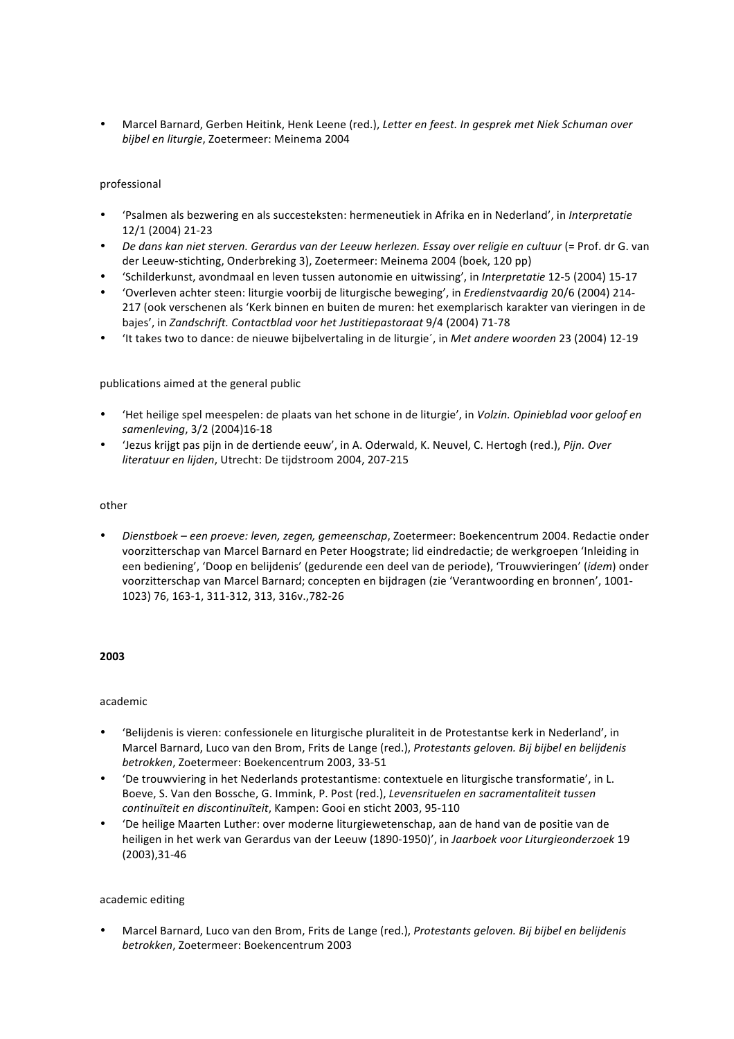• Marcel Barnard, Gerben Heitink, Henk Leene (red.), Letter en feest. In gesprek met Niek Schuman over *bijbel en liturgie*, Zoetermeer: Meinema 2004

# professional

- 'Psalmen als bezwering en als succesteksten: hermeneutiek in Afrika en in Nederland', in Interpretatie 12/1 (2004) 21-23
- *De dans kan niet sterven. Gerardus van der Leeuw herlezen. Essay over religie en cultuur* (= Prof. dr G. van der Leeuw-stichting, Onderbreking 3), Zoetermeer: Meinema 2004 (boek, 120 pp)
- 'Schilderkunst, avondmaal en leven tussen autonomie en uitwissing', in *Interpretatie* 12-5 (2004) 15-17
- 'Overleven achter steen: liturgie voorbij de liturgische beweging', in *Eredienstvaardig* 20/6 (2004) 214- 217 (ook verschenen als 'Kerk binnen en buiten de muren: het exemplarisch karakter van vieringen in de bajes', in *Zandschrift. Contactblad voor het Justitiepastoraat* 9/4 (2004) 71-78
- 'It takes two to dance: de nieuwe bijbelvertaling in de liturgie', in *Met andere woorden* 23 (2004) 12-19

# publications aimed at the general public

- 'Het heilige spel meespelen: de plaats van het schone in de liturgie', in *Volzin. Opinieblad voor geloof en samenleving*, 3/2 (2004)16-18
- 'Jezus krijgt pas pijn in de dertiende eeuw', in A. Oderwald, K. Neuvel, C. Hertogh (red.), Pijn. Over *literatuur en lijden*, Utrecht: De tijdstroom 2004, 207-215

#### other

• *Dienstboek – een proeve: leven, zegen, gemeenschap*, Zoetermeer: Boekencentrum 2004. Redactie onder voorzitterschap van Marcel Barnard en Peter Hoogstrate; lid eindredactie; de werkgroepen 'Inleiding in een bediening', 'Doop en belijdenis' (gedurende een deel van de periode), 'Trouwvieringen' (*idem*) onder voorzitterschap van Marcel Barnard; concepten en bijdragen (zie 'Verantwoording en bronnen', 1001-1023) 76, 163-1, 311-312, 313, 316v.,782-26

# **2003**

# academic

- 'Belijdenis is vieren: confessionele en liturgische pluraliteit in de Protestantse kerk in Nederland', in Marcel Barnard, Luco van den Brom, Frits de Lange (red.), Protestants geloven. Bij bijbel en belijdenis betrokken, Zoetermeer: Boekencentrum 2003, 33-51
- 'De trouwviering in het Nederlands protestantisme: contextuele en liturgische transformatie', in L. Boeve, S. Van den Bossche, G. Immink, P. Post (red.), *Levensrituelen en sacramentaliteit tussen* continuïteit en discontinuïteit, Kampen: Gooi en sticht 2003, 95-110
- 'De heilige Maarten Luther: over moderne liturgiewetenschap, aan de hand van de positie van de heiligen in het werk van Gerardus van der Leeuw (1890-1950)', in Jaarboek voor Liturgieonderzoek 19 (2003),31-46

#### academic editing

• Marcel Barnard, Luco van den Brom, Frits de Lange (red.), *Protestants geloven. Bij bijbel en belijdenis betrokken*, Zoetermeer: Boekencentrum 2003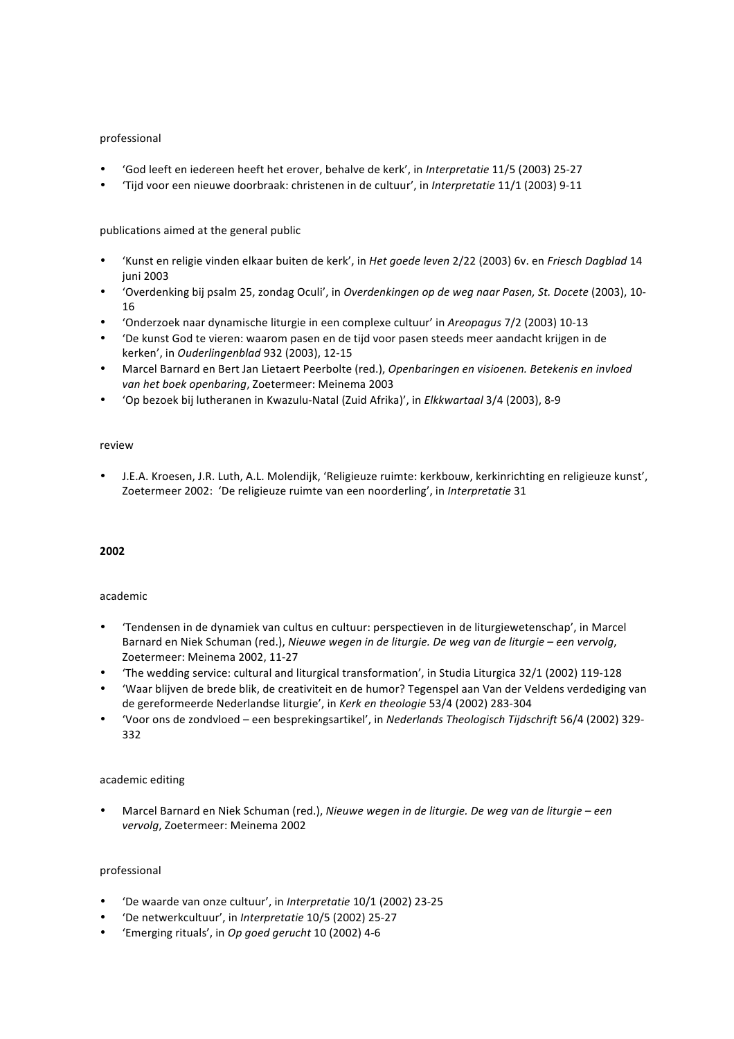# professional

- 'God leeft en iedereen heeft het erover, behalve de kerk', in Interpretatie 11/5 (2003) 25-27
- 'Tijd voor een nieuwe doorbraak: christenen in de cultuur', in *Interpretatie* 11/1 (2003) 9-11

# publications aimed at the general public

- 'Kunst en religie vinden elkaar buiten de kerk', in *Het goede leven* 2/22 (2003) 6v. en *Friesch Dagblad* 14 juni 2003
- 'Overdenking bij psalm 25, zondag Oculi', in *Overdenkingen op de weg naar Pasen, St. Docete* (2003), 10-16
- 'Onderzoek naar dynamische liturgie in een complexe cultuur' in *Areopagus* 7/2 (2003) 10-13
- 'De kunst God te vieren: waarom pasen en de tijd voor pasen steeds meer aandacht krijgen in de kerken', in *Ouderlingenblad* 932 (2003), 12-15
- Marcel Barnard en Bert Jan Lietaert Peerbolte (red.), Openbaringen en visioenen. Betekenis en invloed van het boek openbaring, Zoetermeer: Meinema 2003
- 'Op bezoek bij lutheranen in Kwazulu-Natal (Zuid Afrika)', in *Elkkwartaal* 3/4 (2003), 8-9

# review

J.E.A. Kroesen, J.R. Luth, A.L. Molendijk, 'Religieuze ruimte: kerkbouw, kerkinrichting en religieuze kunst', Zoetermeer 2002: 'De religieuze ruimte van een noorderling', in Interpretatie 31

# **2002**

# academic

- 'Tendensen in de dynamiek van cultus en cultuur: perspectieven in de liturgiewetenschap', in Marcel Barnard en Niek Schuman (red.), *Nieuwe wegen in de liturgie. De weg van de liturgie – een vervolg*, Zoetermeer: Meinema 2002, 11-27
- 'The wedding service: cultural and liturgical transformation', in Studia Liturgica 32/1 (2002) 119-128
- 'Waar blijven de brede blik, de creativiteit en de humor? Tegenspel aan Van der Veldens verdediging van de gereformeerde Nederlandse liturgie', in Kerk en theologie 53/4 (2002) 283-304
- 'Voor ons de zondvloed – een besprekingsartikel', in *Nederlands Theologisch Tijdschrift* 56/4 (2002) 329- 332

# academic editing

Marcel Barnard en Niek Schuman (red.), *Nieuwe wegen in de liturgie. De weg van de liturgie – een vervolg*, Zoetermeer: Meinema 2002

# professional

- 'De waarde van onze cultuur', in *Interpretatie* 10/1 (2002) 23-25
- 'De netwerkcultuur', in *Interpretatie* 10/5 (2002) 25-27
- 'Emerging rituals', in *Op goed gerucht* 10 (2002) 4-6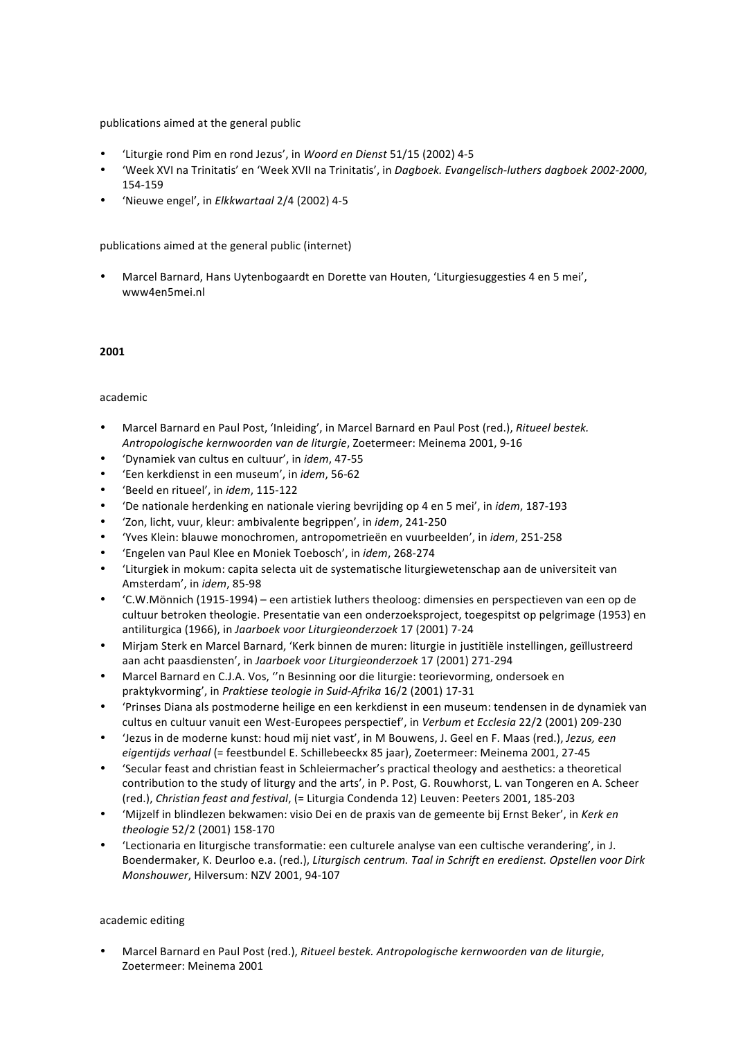- 'Liturgie rond Pim en rond Jezus', in *Woord en Dienst* 51/15 (2002) 4-5
- 'Week XVI na Trinitatis' en 'Week XVII na Trinitatis', in *Dagboek. Evangelisch-luthers dagboek 2002-2000*, 154-159
- 'Nieuwe engel', in *Elkkwartaal* 2/4 (2002) 4-5

publications aimed at the general public (internet)

Marcel Barnard, Hans Uytenbogaardt en Dorette van Houten, 'Liturgiesuggesties 4 en 5 mei', www4en5mei.nl

#### **2001**

#### academic

- Marcel Barnard en Paul Post, 'Inleiding', in Marcel Barnard en Paul Post (red.), Ritueel bestek. *Antropologische kernwoorden van de liturgie*, Zoetermeer: Meinema 2001, 9-16
- 'Dynamiek van cultus en cultuur', in *idem*, 47-55
- 'Een kerkdienst in een museum', in *idem*, 56-62
- 'Beeld en ritueel', in *idem*, 115-122
- 'De nationale herdenking en nationale viering bevrijding op 4 en 5 mei', in *idem*, 187-193
- 'Zon, licht, vuur, kleur: ambivalente begrippen', in *idem*, 241-250
- 'Yves Klein: blauwe monochromen, antropometrieën en vuurbeelden', in *idem*, 251-258
- 'Engelen van Paul Klee en Moniek Toebosch', in *idem*, 268-274
- 'Liturgiek in mokum: capita selecta uit de systematische liturgiewetenschap aan de universiteit van Amsterdam', in *idem*, 85-98
- 'C.W.Mönnich (1915-1994) – een artistiek luthers theoloog: dimensies en perspectieven van een op de cultuur betroken theologie. Presentatie van een onderzoeksproject, toegespitst op pelgrimage (1953) en antiliturgica (1966), in *Jaarboek voor Liturgieonderzoek* 17 (2001) 7-24
- Mirjam Sterk en Marcel Barnard, 'Kerk binnen de muren: liturgie in justitiële instellingen, geïllustreerd aan acht paasdiensten', in Jaarboek voor Liturgieonderzoek 17 (2001) 271-294
- Marcel Barnard en C.J.A. Vos, "n Besinning oor die liturgie: teorievorming, ondersoek en praktykvorming', in *Praktiese teologie in Suid-Afrika* 16/2 (2001) 17-31
- 'Prinses Diana als postmoderne heilige en een kerkdienst in een museum: tendensen in de dynamiek van cultus en cultuur vanuit een West-Europees perspectief', in *Verbum et Ecclesia* 22/2 (2001) 209-230
- 'Jezus in de moderne kunst: houd mij niet vast', in M Bouwens, J. Geel en F. Maas (red.), *Jezus, een*  eigentijds verhaal (= feestbundel E. Schillebeeckx 85 jaar), Zoetermeer: Meinema 2001, 27-45
- 'Secular feast and christian feast in Schleiermacher's practical theology and aesthetics: a theoretical contribution to the study of liturgy and the arts', in P. Post, G. Rouwhorst, L. van Tongeren en A. Scheer (red.), *Christian feast and festival*, (= Liturgia Condenda 12) Leuven: Peeters 2001, 185-203
- 'Mijzelf in blindlezen bekwamen: visio Dei en de praxis van de gemeente bij Ernst Beker', in Kerk en *theologie* 52/2 (2001) 158-170
- 'Lectionaria en liturgische transformatie: een culturele analyse van een cultische verandering', in J. Boendermaker, K. Deurloo e.a. (red.), *Liturgisch centrum. Taal in Schrift en eredienst. Opstellen voor Dirk Monshouwer*, Hilversum: NZV 2001, 94-107

academic editing

Marcel Barnard en Paul Post (red.), Ritueel bestek. Antropologische kernwoorden van de liturgie, Zoetermeer: Meinema 2001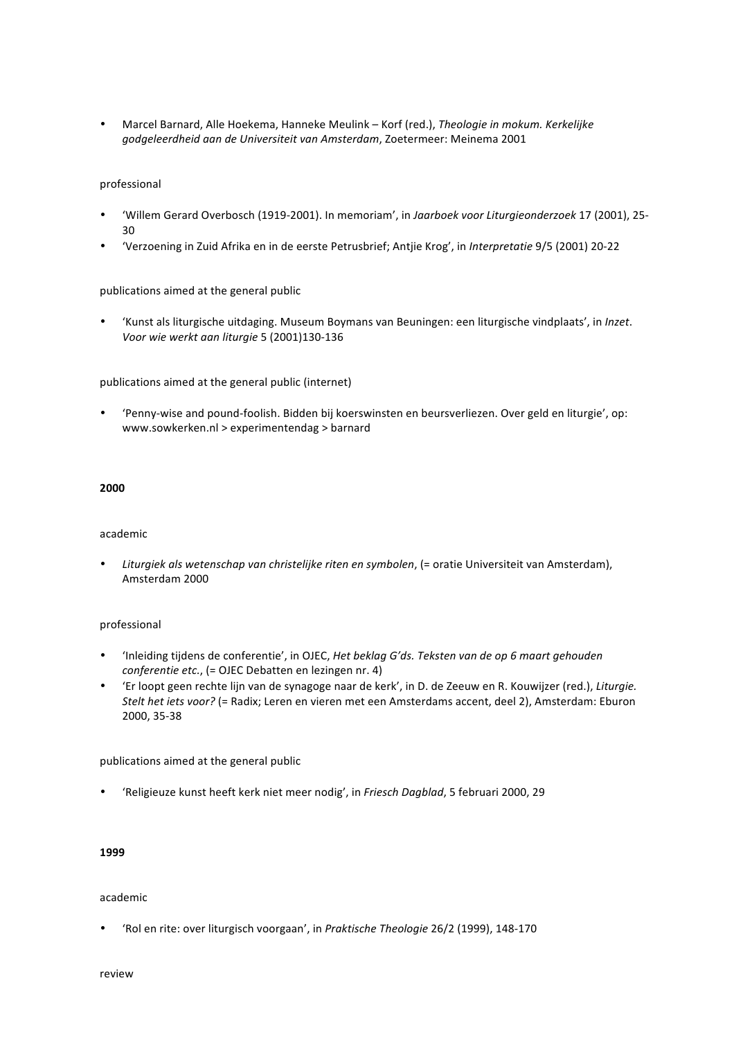• Marcel Barnard, Alle Hoekema, Hanneke Meulink - Korf (red.), Theologie in mokum. Kerkelijke *godgeleerdheid aan de Universiteit van Amsterdam*, Zoetermeer: Meinema 2001

#### professional

- 'Willem Gerard Overbosch (1919-2001). In memoriam', in *Jaarboek voor Liturgieonderzoek* 17 (2001), 25- 30
- 'Verzoening in Zuid Afrika en in de eerste Petrusbrief; Antjie Krog', in *Interpretatie* 9/5 (2001) 20-22

#### publications aimed at the general public

• 'Kunst als liturgische uitdaging. Museum Boymans van Beuningen: een liturgische vindplaats', in *Inzet*. *Voor wie werkt aan liturgie* 5 (2001)130-136

publications aimed at the general public (internet)

'Penny-wise and pound-foolish. Bidden bij koerswinsten en beursverliezen. Over geld en liturgie', op: www.sowkerken.nl > experimentendag > barnard

#### **2000**

#### academic

• Liturgiek als wetenschap van christelijke riten en symbolen, (= oratie Universiteit van Amsterdam), Amsterdam 2000

#### professional

- 'Inleiding tijdens de conferentie', in OJEC, *Het beklag G'ds. Teksten van de op 6 maart gehouden conferentie etc.*, (= OJEC Debatten en lezingen nr. 4)
- 'Er loopt geen rechte lijn van de synagoge naar de kerk', in D. de Zeeuw en R. Kouwijzer (red.), *Liturgie. Stelt het iets voor?* (= Radix; Leren en vieren met een Amsterdams accent, deel 2), Amsterdam: Eburon 2000, 35-38

publications aimed at the general public

• 'Religieuze kunst heeft kerk niet meer nodig', in *Friesch Dagblad*, 5 februari 2000, 29

#### **1999**

#### academic

'Rol en rite: over liturgisch voorgaan', in Praktische Theologie 26/2 (1999), 148-170

review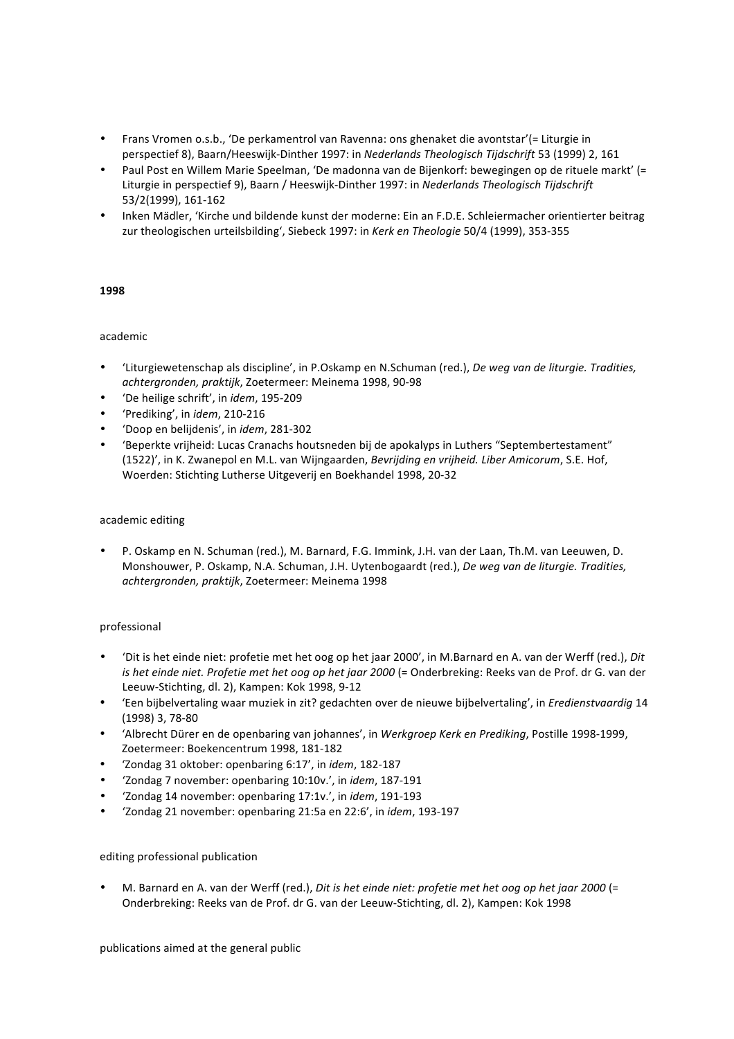- Frans Vromen o.s.b., 'De perkamentrol van Ravenna: ons ghenaket die avontstar'(= Liturgie in perspectief 8), Baarn/Heeswijk-Dinther 1997: in *Nederlands Theologisch Tijdschrift* 53 (1999) 2, 161
- Paul Post en Willem Marie Speelman, 'De madonna van de Bijenkorf: bewegingen op de rituele markt' (= Liturgie in perspectief 9), Baarn / Heeswijk-Dinther 1997: in *Nederlands Theologisch Tijdschrift* 53/2(1999), 161-162
- Inken Mädler, 'Kirche und bildende kunst der moderne: Ein an F.D.E. Schleiermacher orientierter beitrag zur theologischen urteilsbilding', Siebeck 1997: in *Kerk en Theologie* 50/4 (1999), 353-355

# **1998**

#### academic

- 'Liturgiewetenschap als discipline', in P.Oskamp en N.Schuman (red.), *De weg van de liturgie. Tradities*, *achtergronden, praktijk*, Zoetermeer: Meinema 1998, 90-98
- 'De heilige schrift', in *idem*, 195-209
- 'Prediking', in *idem*, 210-216
- 'Doop en belijdenis', in *idem*, 281-302
- 'Beperkte vrijheid: Lucas Cranachs houtsneden bij de apokalyps in Luthers "Septembertestament" (1522)', in K. Zwanepol en M.L. van Wijngaarden, *Bevrijding en vrijheid. Liber Amicorum*, S.E. Hof, Woerden: Stichting Lutherse Uitgeverij en Boekhandel 1998, 20-32

#### academic editing

P. Oskamp en N. Schuman (red.), M. Barnard, F.G. Immink, J.H. van der Laan, Th.M. van Leeuwen, D. Monshouwer, P. Oskamp, N.A. Schuman, J.H. Uytenbogaardt (red.), *De weg van de liturgie. Tradities, achtergronden, praktijk*, Zoetermeer: Meinema 1998

# professional

- 'Dit is het einde niet: profetie met het oog op het jaar 2000', in M.Barnard en A. van der Werff (red.), *Dit is* het einde niet. Profetie met het oog op het jaar 2000 (= Onderbreking: Reeks van de Prof. dr G. van der Leeuw-Stichting, dl. 2), Kampen: Kok 1998, 9-12
- 'Een bijbelvertaling waar muziek in zit? gedachten over de nieuwe bijbelvertaling', in *Eredienstvaardig* 14 (1998) 3, 78-80
- 'Albrecht Dürer en de openbaring van johannes', in *Werkgroep Kerk en Prediking*, Postille 1998-1999, Zoetermeer: Boekencentrum 1998, 181-182
- 'Zondag 31 oktober: openbaring 6:17', in *idem*, 182-187
- 'Zondag 7 november: openbaring 10:10v.', in *idem*, 187-191
- 'Zondag 14 november: openbaring 17:1v.', in *idem*, 191-193
- 'Zondag 21 november: openbaring 21:5a en 22:6', in *idem*, 193-197

# editing professional publication

M. Barnard en A. van der Werff (red.), *Dit is het einde niet: profetie met het oog op het jaar 2000* (= Onderbreking: Reeks van de Prof. dr G. van der Leeuw-Stichting, dl. 2), Kampen: Kok 1998

publications aimed at the general public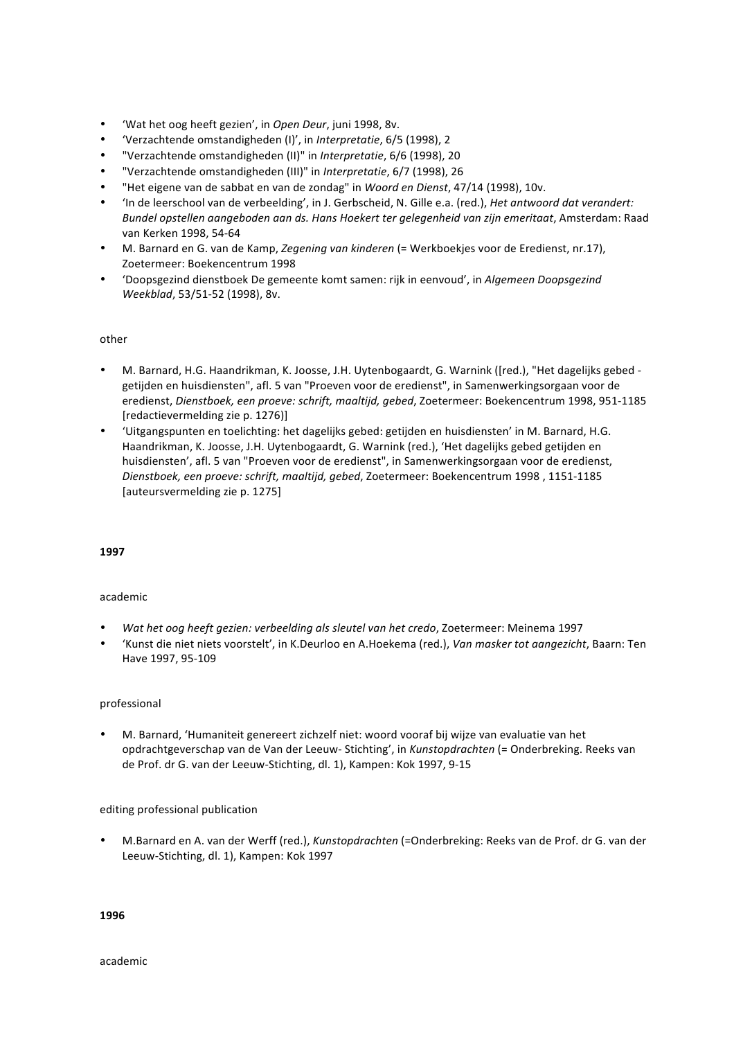- 'Wat het oog heeft gezien', in Open Deur, juni 1998, 8v.
- 'Verzachtende omstandigheden (I)', in *Interpretatie*, 6/5 (1998), 2
- "Verzachtende omstandigheden (II)" in *Interpretatie*, 6/6 (1998), 20
- "Verzachtende omstandigheden (III)" in *Interpretatie*, 6/7 (1998), 26
- "Het eigene van de sabbat en van de zondag" in *Woord en Dienst*, 47/14 (1998), 10v.
- 'In de leerschool van de verbeelding', in J. Gerbscheid, N. Gille e.a. (red.), *Het antwoord dat verandert: Bundel opstellen aangeboden aan ds. Hans Hoekert ter gelegenheid van zijn emeritaat*, Amsterdam: Raad van Kerken 1998, 54-64
- M. Barnard en G. van de Kamp, *Zegening van kinderen* (= Werkboekjes voor de Eredienst, nr.17), Zoetermeer: Boekencentrum 1998
- 'Doopsgezind dienstboek De gemeente komt samen: rijk in eenvoud', in *Algemeen Doopsgezind Weekblad*, 53/51-52 (1998), 8v.

# other

- M. Barnard, H.G. Haandrikman, K. Joosse, J.H. Uytenbogaardt, G. Warnink ([red.), "Het dagelijks gebed getijden en huisdiensten", afl. 5 van "Proeven voor de eredienst", in Samenwerkingsorgaan voor de eredienst, Dienstboek, een proeve: schrift, maaltijd, gebed, Zoetermeer: Boekencentrum 1998, 951-1185 [redactievermelding zie p. 1276)]
- 'Uitgangspunten en toelichting: het dagelijks gebed: getijden en huisdiensten' in M. Barnard, H.G. Haandrikman, K. Joosse, J.H. Uytenbogaardt, G. Warnink (red.), 'Het dagelijks gebed getijden en huisdiensten', afl. 5 van "Proeven voor de eredienst", in Samenwerkingsorgaan voor de eredienst, *Dienstboek, een proeve: schrift, maaltijd, gebed*, Zoetermeer: Boekencentrum 1998 , 1151-1185 [auteursvermelding zie p. 1275]

#### **1997**

# academic

- Wat het oog heeft gezien: verbeelding als sleutel van het credo, Zoetermeer: Meinema 1997
- 'Kunst die niet niets voorstelt', in K.Deurloo en A.Hoekema (red.), *Van masker tot aangezicht*, Baarn: Ten Have 1997, 95-109

#### professional

M. Barnard, 'Humaniteit genereert zichzelf niet: woord vooraf bij wijze van evaluatie van het opdrachtgeverschap van de Van der Leeuw- Stichting', in *Kunstopdrachten* (= Onderbreking. Reeks van de Prof. dr G. van der Leeuw-Stichting, dl. 1), Kampen: Kok 1997, 9-15

# editing professional publication

M.Barnard en A. van der Werff (red.), *Kunstopdrachten* (=Onderbreking: Reeks van de Prof. dr G. van der Leeuw-Stichting, dl. 1), Kampen: Kok 1997

**1996**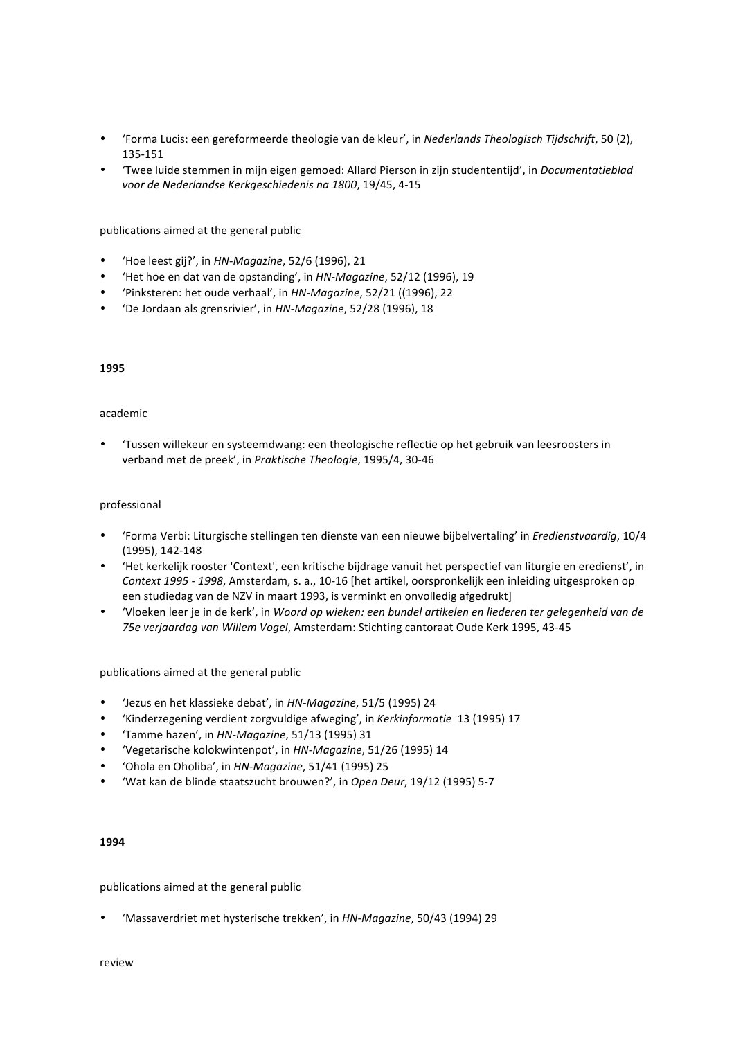- 'Forma Lucis: een gereformeerde theologie van de kleur', in *Nederlands Theologisch Tijdschrift*, 50 (2), 135-151
- 'Twee luide stemmen in mijn eigen gemoed: Allard Pierson in zijn studententijd', in *Documentatieblad* voor de Nederlandse Kerkgeschiedenis na 1800, 19/45, 4-15

- 'Hoe leest gij?', in *HN-Magazine*, 52/6 (1996), 21
- 'Het hoe en dat van de opstanding', in *HN-Magazine*, 52/12 (1996), 19
- 'Pinksteren: het oude verhaal', in *HN-Magazine*, 52/21 ((1996), 22
- 'De Jordaan als grensrivier', in HN-Magazine, 52/28 (1996), 18

#### **1995**

#### academic

'Tussen willekeur en systeemdwang: een theologische reflectie op het gebruik van leesroosters in verband met de preek', in Praktische Theologie, 1995/4, 30-46

#### professional

- 'Forma Verbi: Liturgische stellingen ten dienste van een nieuwe bijbelvertaling' in *Eredienstvaardig*, 10/4 (1995), 142-148
- 'Het kerkelijk rooster 'Context', een kritische bijdrage vanuit het perspectief van liturgie en eredienst', in *Context 1995 - 1998*, Amsterdam, s. a., 10-16 [het artikel, oorspronkelijk een inleiding uitgesproken op een studiedag van de NZV in maart 1993, is verminkt en onvolledig afgedrukt]
- 'Vloeken leer je in de kerk', in Woord op wieken: een bundel artikelen en liederen ter gelegenheid van de 75e verjaardag van Willem Vogel, Amsterdam: Stichting cantoraat Oude Kerk 1995, 43-45

publications aimed at the general public

- 'Jezus en het klassieke debat', in *HN-Magazine*, 51/5 (1995) 24
- 'Kinderzegening verdient zorgvuldige afweging', in *Kerkinformatie* 13 (1995) 17
- 'Tamme hazen', in *HN-Magazine*, 51/13 (1995) 31
- 'Vegetarische kolokwintenpot', in *HN-Magazine*, 51/26 (1995) 14
- 'Ohola en Oholiba', in *HN-Magazine*, 51/41 (1995) 25
- 'Wat kan de blinde staatszucht brouwen?', in Open Deur, 19/12 (1995) 5-7

#### **1994**

publications aimed at the general public

• 'Massaverdriet met hysterische trekken', in *HN-Magazine*, 50/43 (1994) 29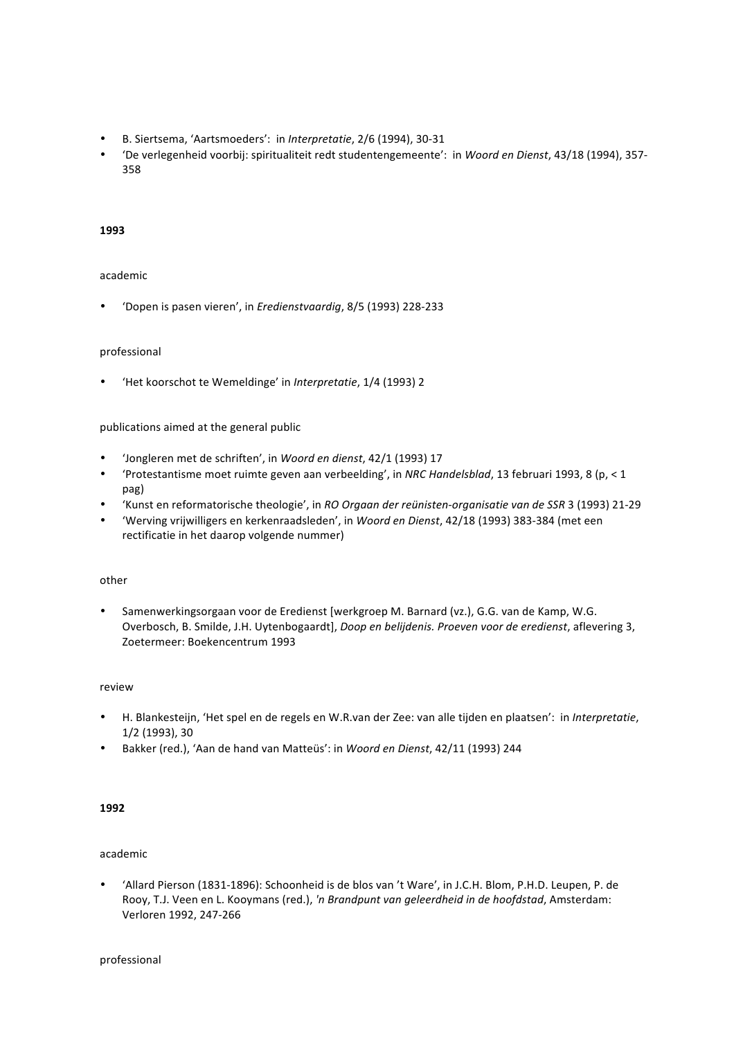- B. Siertsema, 'Aartsmoeders': in *Interpretatie*, 2/6 (1994), 30-31
- 'De verlegenheid voorbij: spiritualiteit redt studentengemeente': in *Woord en Dienst*, 43/18 (1994), 357- 358

#### **1993**

#### academic

• 'Dopen is pasen vieren', in *Eredienstvaardig*, 8/5 (1993) 228-233

#### professional

• 'Het koorschot te Wemeldinge' in *Interpretatie*, 1/4 (1993) 2

#### publications aimed at the general public

- 'Jongleren met de schriften', in *Woord en dienst*, 42/1 (1993) 17
- 'Protestantisme moet ruimte geven aan verbeelding', in *NRC Handelsblad*, 13 februari 1993, 8 (p, < 1 pag)
- 'Kunst en reformatorische theologie', in *RO Orgaan der reünisten-organisatie van de SSR* 3 (1993) 21-29
- 'Werving vrijwilligers en kerkenraadsleden', in *Woord en Dienst*, 42/18 (1993) 383-384 (met een rectificatie in het daarop volgende nummer)

#### other

• Samenwerkingsorgaan voor de Eredienst [werkgroep M. Barnard (vz.), G.G. van de Kamp, W.G. Overbosch, B. Smilde, J.H. Uytenbogaardt], *Doop en belijdenis. Proeven voor de eredienst*, aflevering 3, Zoetermeer: Boekencentrum 1993

#### review

- H. Blankesteijn, 'Het spel en de regels en W.R.van der Zee: van alle tijden en plaatsen': in *Interpretatie*, 1/2 (1993), 30
- Bakker (red.), 'Aan de hand van Matteüs': in *Woord en Dienst*, 42/11 (1993) 244

#### **1992**

#### academic

'Allard Pierson (1831-1896): Schoonheid is de blos van 't Ware', in J.C.H. Blom, P.H.D. Leupen, P. de Rooy, T.J. Veen en L. Kooymans (red.), 'n Brandpunt van geleerdheid in de hoofdstad, Amsterdam: Verloren 1992, 247-266

professional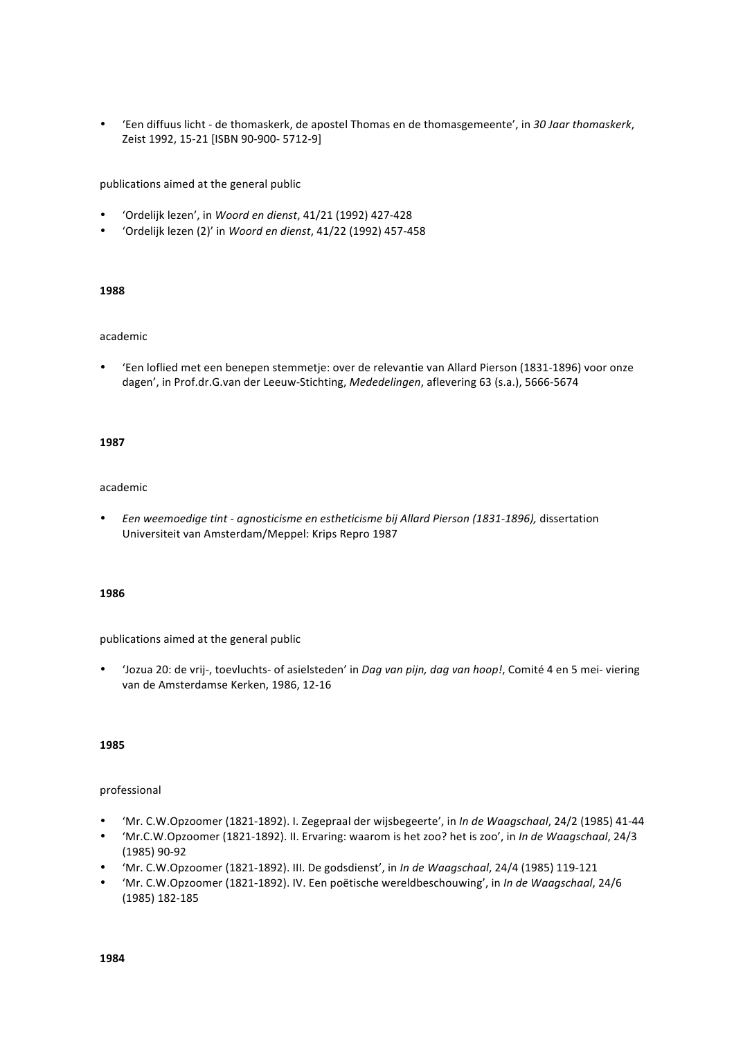• 'Een diffuus licht - de thomaskerk, de apostel Thomas en de thomasgemeente', in *30 Jaar thomaskerk*, Zeist 1992, 15-21 [ISBN 90-900- 5712-9]

publications aimed at the general public

- 'Ordelijk lezen', in *Woord en dienst*, 41/21 (1992) 427-428
- 'Ordelijk lezen (2)' in *Woord en dienst*, 41/22 (1992) 457-458

#### **1988**

#### academic

• 'Een loflied met een benepen stemmetje: over de relevantie van Allard Pierson (1831-1896) voor onze dagen', in Prof.dr.G.van der Leeuw-Stichting, Mededelingen, aflevering 63 (s.a.), 5666-5674

#### **1987**

#### academic

• Een weemoedige tint - agnosticisme en estheticisme bij Allard Pierson (1831-1896), dissertation Universiteit van Amsterdam/Meppel: Krips Repro 1987

#### **1986**

publications aimed at the general public

'Jozua 20: de vrij-, toevluchts- of asielsteden' in *Dag van pijn, dag van hoop!*, Comité 4 en 5 mei- viering van de Amsterdamse Kerken, 1986, 12-16

#### **1985**

#### professional

- 'Mr. C.W.Opzoomer (1821-1892). I. Zegepraal der wijsbegeerte', in *In de Waagschaal*, 24/2 (1985) 41-44
- 'Mr.C.W.Opzoomer (1821-1892). II. Ervaring: waarom is het zoo? het is zoo', in *In de Waagschaal*, 24/3 (1985) 90-92
- 'Mr. C.W.Opzoomer (1821-1892). III. De godsdienst', in In de Waagschaal, 24/4 (1985) 119-121
- 'Mr. C.W.Opzoomer (1821-1892). IV. Een poëtische wereldbeschouwing', in *In de Waagschaal*, 24/6 (1985) 182-185